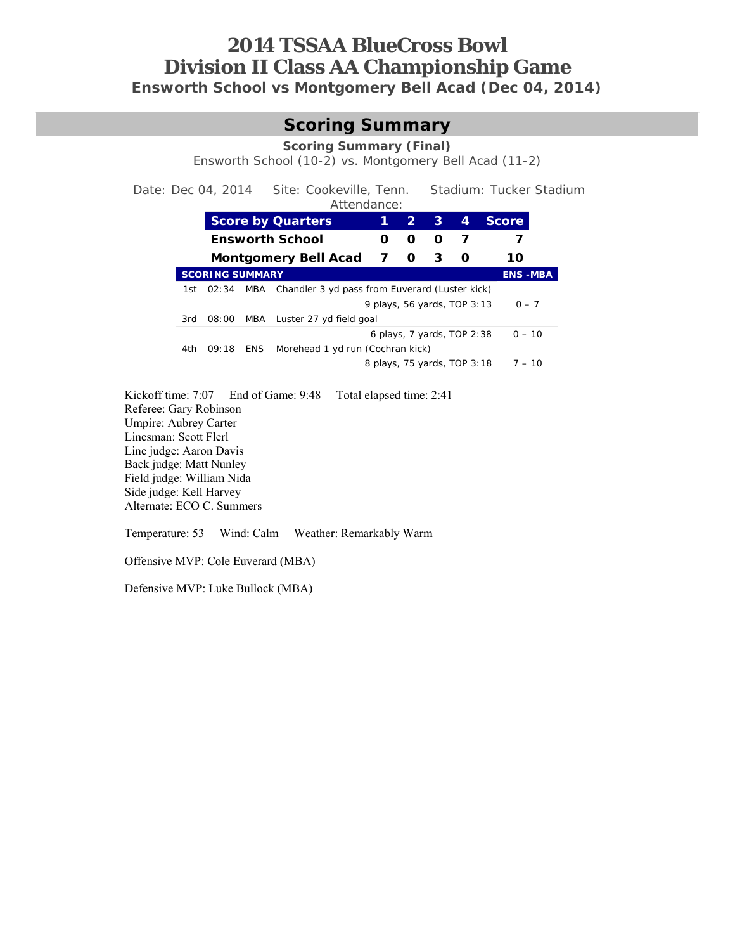# **2014 TSSAA BlueCross Bowl Division II Class AA Championship Game Ensworth School vs Montgomery Bell Acad (Dec 04, 2014)**

#### **Scoring Summary**

**Scoring Summary (Final)** 

Ensworth School (10-2) vs. Montgomery Bell Acad (11-2)

Date: Dec 04, 2014 Site: Cookeville, Tenn. Stadium: Tucker Stadium

Attendance:

|      |                        | <b>Score by Quarters</b> |                                                    |                              |   | $\sim$ 2<br>$\mathbf{3}$ | 4 | <b>Score</b>   |          |
|------|------------------------|--------------------------|----------------------------------------------------|------------------------------|---|--------------------------|---|----------------|----------|
|      |                        | <b>Ensworth School</b>   |                                                    |                              |   | O                        |   |                |          |
|      |                        |                          | Montgomery Bell Acad                               | $\overline{7}$               | O | 3                        | O | 10             |          |
|      | <b>SCORING SUMMARY</b> |                          |                                                    |                              |   |                          |   | <b>ENS-MBA</b> |          |
|      | 1st 02:34              |                          | MBA Chandler 3 yd pass from Euverard (Luster kick) |                              |   |                          |   |                |          |
|      |                        |                          | 9 plays, 56 yards, TOP 3:13                        |                              |   |                          |   | $0 - 7$        |          |
| 3rd  | 08:00                  |                          | MBA Luster 27 yd field goal                        |                              |   |                          |   |                |          |
|      |                        |                          |                                                    | 6 plays, $7$ yards, TOP 2:38 |   |                          |   | $0 - 10$       |          |
| 4th. | 09:18                  | ENS                      | Morehead 1 yd run (Cochran kick)                   |                              |   |                          |   |                |          |
|      |                        |                          |                                                    | 8 plays, 75 yards, TOP 3:18  |   |                          |   |                | $7 - 10$ |
|      |                        |                          |                                                    |                              |   |                          |   |                |          |

Kickoff time: 7:07 End of Game: 9:48 Total elapsed time: 2:41 Referee: Gary Robinson Umpire: Aubrey Carter Linesman: Scott Flerl Line judge: Aaron Davis Back judge: Matt Nunley Field judge: William Nida Side judge: Kell Harvey Alternate: ECO C. Summers

Temperature: 53 Wind: Calm Weather: Remarkably Warm

Offensive MVP: Cole Euverard (MBA)

Defensive MVP: Luke Bullock (MBA)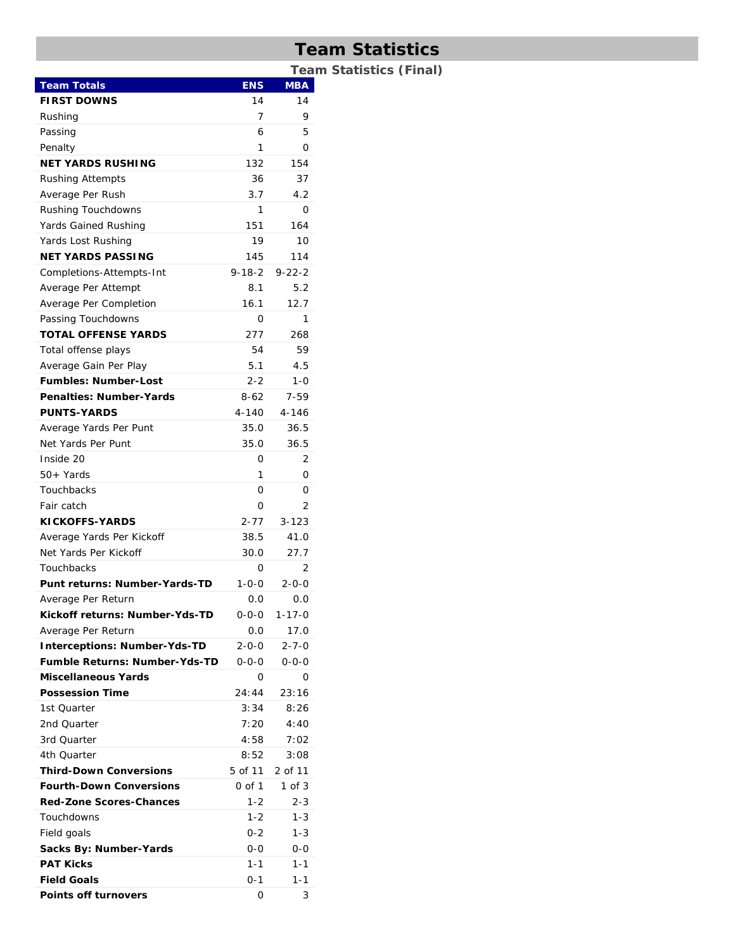# **Team Statistics**

**Team Statistics (Final)** 

| <b>Team Totals</b><br><b>ENS</b>                    | <b>MBA</b>   |
|-----------------------------------------------------|--------------|
| <b>FIRST DOWNS</b><br>14                            | 14           |
| 7<br>Rushing                                        | 9            |
| Passing<br>6                                        | 5            |
| Penalty<br>1                                        | 0            |
| NET YARDS RUSHING<br>132                            | 154          |
| 36<br><b>Rushing Attempts</b>                       | 37           |
| 3.7<br>Average Per Rush                             | 4.2          |
| Rushing Touchdowns<br>1                             | 0            |
| Yards Gained Rushing<br>151                         | 164          |
| 19<br>Yards Lost Rushing                            | 10           |
| NET YARDS PASSING<br>145                            | 114          |
| $9 - 18 - 2$<br>Completions-Attempts-Int            | $9 - 22 - 2$ |
| Average Per Attempt<br>8.1                          | 5.2          |
| Average Per Completion<br>16.1                      | 12.7         |
| Passing Touchdowns<br>0                             | 1            |
| <b>TOTAL OFFENSE YARDS</b><br>277                   | 268          |
| 54<br>Total offense plays                           | 59           |
| Average Gain Per Play<br>5.1                        | 4.5          |
| <b>Fumbles: Number-Lost</b><br>$2 - 2$              | 1-0          |
| <b>Penalties: Number-Yards</b><br>$8 - 62$          | $7 - 59$     |
| <b>PUNTS-YARDS</b><br>4-140                         | $4 - 146$    |
| Average Yards Per Punt<br>35.0                      | 36.5         |
| Net Yards Per Punt<br>35.0                          | 36.5         |
| Inside 20<br>0                                      | 2            |
| 50+ Yards<br>1                                      | 0            |
| Touchbacks<br>Ο                                     | 0            |
| Fair catch<br>Ο                                     | 2            |
| <b>KICKOFFS-YARDS</b><br>2-77                       | $3 - 123$    |
| Average Yards Per Kickoff<br>38.5                   | 41.0         |
| Net Yards Per Kickoff<br>30.0                       | 27.7         |
| Touchbacks<br>0                                     | 2            |
| Punt returns: Number-Yards-TD<br>$1 - 0 - 0$        | $2 - 0 - 0$  |
| Average Per Return<br>0.0                           | 0.0          |
| Kickoff returns: Number-Yds-TD<br>0-0-0             | $1 - 17 - 0$ |
| 0.0<br>Average Per Return                           | 17.0         |
| $2 - 0 - 0$<br><b>Interceptions: Number-Yds-TD</b>  | 2-7-0        |
| Fumble Returns: Number-Yds-TD<br>$0 - 0 - 0$        | $0 - 0 - 0$  |
| Miscellaneous Yards<br>0                            | Ο            |
| <b>Possession Time</b><br>24:44                     | 23:16        |
| 3:34<br>1st Quarter                                 | 8:26         |
| 2nd Quarter<br>7:20                                 | 4:40         |
| 3rd Quarter<br>4:58                                 | 7:02         |
| 4th Ouarter<br>8:52                                 | 3:08         |
| <b>Third-Down Conversions</b><br>5 of 11<br>2 of 11 |              |
| <b>Fourth-Down Conversions</b><br>0 of 1            | 1 of 3       |
| <b>Red-Zone Scores-Chances</b><br>$1 - 2$           | $2 - 3$      |
| $1 - 2$<br>Touchdowns                               | $1 - 3$      |
| Field goals<br>$0 - 2$                              | $1 - 3$      |
| Sacks By: Number-Yards<br>$0 - 0$                   | $0 - 0$      |
| <b>PAT Kicks</b><br>$1 - 1$                         | $1 - 1$      |
| <b>Field Goals</b><br>$0 - 1$                       | 1-1          |
| <b>Points off turnovers</b><br>0                    | 3            |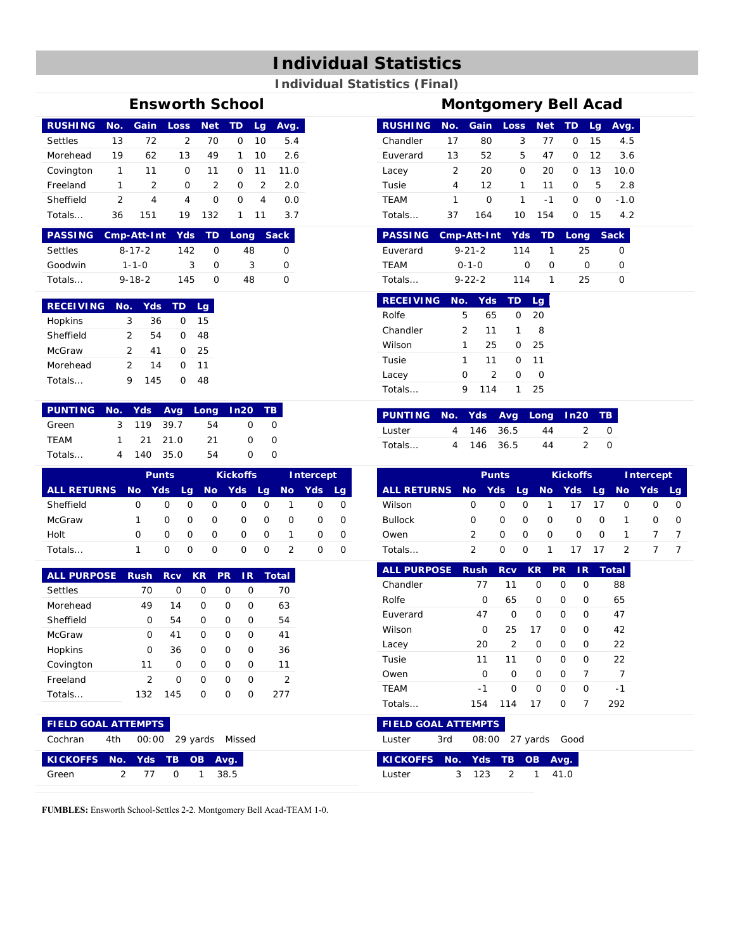# **Individual Statistics**

#### **Individual Statistics (Final)**

| <b>RUSHING No.</b><br><b>Settles</b><br>Morehead | 13            |                |               |          |          |               |                          |
|--------------------------------------------------|---------------|----------------|---------------|----------|----------|---------------|--------------------------|
|                                                  |               |                |               |          |          |               | Gain Loss Net TD Lg Avg. |
|                                                  |               | 72             | $\mathcal{L}$ | 70       | $\Omega$ | 10            | 5.4                      |
|                                                  | 19            | 62             | 13            | 49       |          | 10            | 2.6                      |
| Covington                                        |               | 11             | $\Omega$      | 11       | $\Omega$ | 11            | 11.0                     |
| Freeland                                         |               | $\overline{2}$ | $\Omega$      | 2        | $\Omega$ | $\mathcal{P}$ | 2.0                      |
| Sheffield                                        | $\mathcal{P}$ | 4              | 4             | $\Omega$ | $\Omega$ | 4             | 0.0                      |
| Totals                                           | 36            | 151            | 19.           | 132      |          | 11            | 3.7                      |

|                | PASSING Cmp-Att-Int Yds TD Long Sack |     |   |     |  |
|----------------|--------------------------------------|-----|---|-----|--|
| <b>Settles</b> | $8 - 17 - 2$                         | 142 |   | 48  |  |
| Goodwin        | $1 - 1 - 0$                          | ર   | O | - 2 |  |
| Totals         | $9 - 18 - 2$                         | 145 |   | 48  |  |

| <b>RECEIVING</b> | No. | Yds |   | La |
|------------------|-----|-----|---|----|
| Hopkins          | 3   | 36  | O | 15 |
| Sheffield        | 2   | 54  | O | 48 |
| McGraw           | 2   | 41  | O | つら |
| Morehead         | 2   | 14  | O | 11 |
| Totals           | Q   | 145 | 0 | 48 |

| PUNTING No. Yds Avg Long In20 TB |            |     |          |  |
|----------------------------------|------------|-----|----------|--|
| Green                            | 3 119 39.7 | 54  | $\Omega$ |  |
| <b>TFAM</b>                      | 1 21 21 0  | -21 | ∩        |  |
| Totals                           | 4 140 35.0 | 54  |          |  |

|                    | <b>Punts</b> |          |          |   | <b>Kickoffs</b>  |          | <b>Intercept</b> |          |                  |
|--------------------|--------------|----------|----------|---|------------------|----------|------------------|----------|------------------|
| <b>ALL RETURNS</b> | No.          |          |          |   | Yds Lg No Yds Lg |          | <b>No</b>        | Yds.     | Lq.              |
| Sheffield          | O            | O        | O        | O | O                | O        |                  |          | O                |
| McGraw             |              | $\Omega$ | $\Omega$ | O | O                | $\Omega$ | O                | $\Omega$ | O                |
| Holt               | O            | O        | $\Omega$ | O | <sup>o</sup>     | 0        |                  | O        | O                |
| Totals             |              | O        | O        | O | O                | O        |                  | O        | $\left( \right)$ |

| <b>ALL PURPOSE</b> | <b>Rush</b> | <b>Rcv</b> | <b>KR</b> | <b>PR</b> | IR. | Total |
|--------------------|-------------|------------|-----------|-----------|-----|-------|
| Settles            | 70          | O          | O         | O         | O   | 70    |
| Morehead           | 49          | 14         | O         | O         | O   | 63    |
| Sheffield          | O           | 54         | O         | O         | O   | 54    |
| <b>McGraw</b>      | O           | 41         | O         | O         | O   | 41    |
| Hopkins            | Ω           | 36         | O         | O         | O   | 36    |
| Covington          | 11          | O          | O         | U         | O   | 11    |
| Freeland           | 2           | O          | O         | U         | O   | 2     |
| Totals L           | 132         | 145        | U         | ∩         | ∩   | つフフ   |

| Euverard          | $9 - 21 - 2$  |    | 114  |    |   | 25 |  |
|-------------------|---------------|----|------|----|---|----|--|
| <b>TEAM</b>       | $0 - 1 - 0$   |    | Ω    |    | O | Ω  |  |
| Totals            | $9 - 22 - 2$  |    | 114  |    |   | 25 |  |
|                   |               |    |      |    |   |    |  |
| RECEIVING No. Yds |               |    | ⊤ TD | La |   |    |  |
| Rolfe             | 5             | 65 | ∩    | 20 |   |    |  |
| Chandler          | $\mathcal{P}$ | 11 |      | 8  |   |    |  |

**PASSING Cmp-Att-Int Yds TD Long Sack**

| <u>ULIOI IUILU</u> | ╭ |     |              | . . |  |
|--------------------|---|-----|--------------|-----|--|
| Wilson             |   | 25  | O            | 25  |  |
| Tusie              |   | 11  | O            | 11  |  |
| Lacey              | ∩ | 2   | $\mathbf{O}$ | O   |  |
| Totals             |   | 114 |              | 25  |  |

| PUNTING No. Yds Avg Long In20 TB |            |    |     |
|----------------------------------|------------|----|-----|
| Luster                           | 4 146 36.5 | 44 | ()  |
| Totals                           | 4 146 36.5 | 44 | - 0 |

|                                 | <b>Punts</b> |              |          | <b>Kickoffs</b> |              |          | Intercept |       |    |
|---------------------------------|--------------|--------------|----------|-----------------|--------------|----------|-----------|-------|----|
| ALL RETURNS No Yds Lg No Yds Lg |              |              |          |                 |              |          | <b>No</b> | - Yds | La |
| Wilson                          | ∩            | O            | O        |                 | 17           | -17      |           |       | O  |
| <b>Bullock</b>                  | O            | <sup>o</sup> | $\Omega$ | $\Omega$        | $\Omega$     | O        |           | O     | O  |
| Owen                            |              | O            | $\Omega$ | $\Omega$        | <sup>o</sup> | $\Omega$ |           |       |    |
| Totals                          |              | O            | O        |                 |              | 17       |           |       |    |

| <b>ALL PURPOSE Rush</b> |     | <b>Rcv</b>    | <b>KR</b> | <b>PR</b> | 1R | Total |
|-------------------------|-----|---------------|-----------|-----------|----|-------|
| Chandler                | 77  | 11            | Ω         | Ω         | O  | 88    |
| Rolfe                   | Ω   | 65            | O         | O         | O  | 65    |
| Euverard                | 47  | O             | O         | O         | O  | 47    |
| Wilson                  | Ω   | 25            | 17        | O         | O  | 42    |
| Lacey                   | 20  | $\mathcal{P}$ | O         | O         | O  | 22    |
| Tusie                   | 11  | 11            | O         | O         | O  | 22    |
| Owen                    | O   | O             | O         | O         | 7  | 7     |
| <b>TEAM</b>             | -1  | O             | O         | O         | O  | -1    |
| Totals                  | 154 | 114           | 17        | O         | 7  | 292   |

| <b>FIELD GOAL ATTEMPTS</b>        |  |  |               |
|-----------------------------------|--|--|---------------|
| Cochran 4th 00:00 29 yards Missed |  |  |               |
| KICKOFFS No. Yds TB OB Avg.       |  |  |               |
| Green                             |  |  | 2 77 0 1 38.5 |

**FUMBLES:** Ensworth School-Settles 2-2. Montgomery Bell Acad-TEAM 1-0.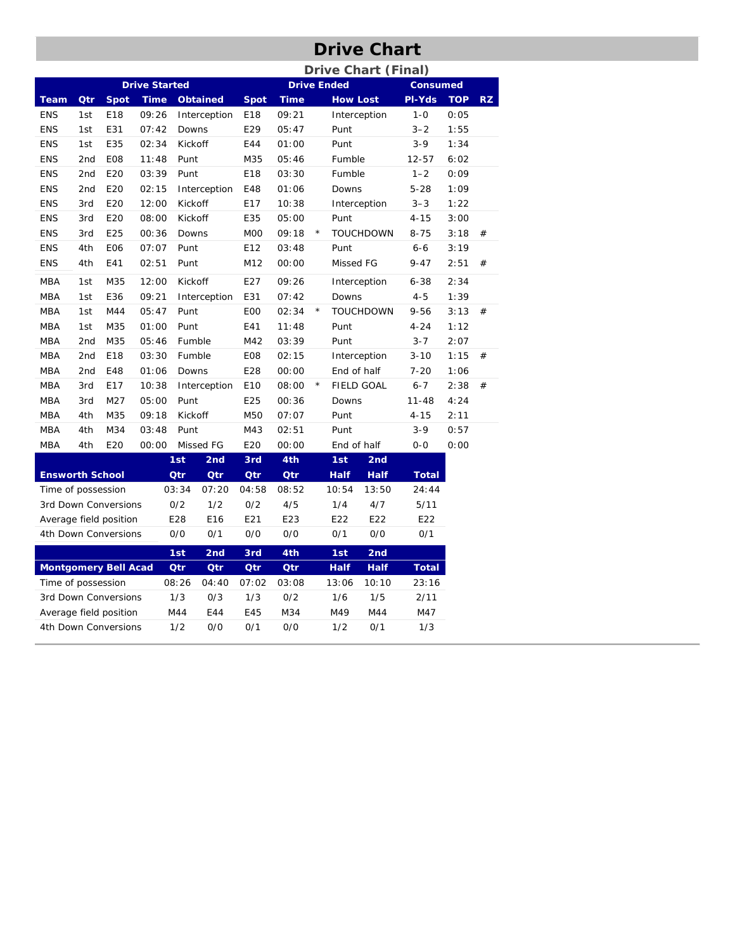# **Drive Chart**

|                        |                             |                             |                      |            |                 |                |             |         |                    | <b>Drive Chart (Final)</b> |                 |            |           |
|------------------------|-----------------------------|-----------------------------|----------------------|------------|-----------------|----------------|-------------|---------|--------------------|----------------------------|-----------------|------------|-----------|
|                        |                             |                             | <b>Drive Started</b> |            |                 |                |             |         | <b>Drive Ended</b> |                            | <b>Consumed</b> |            |           |
| <b>Team</b>            | Qtr                         | <b>Spot</b>                 | <b>Time</b>          |            | <b>Obtained</b> | <b>Spot</b>    | <b>Time</b> |         | <b>How Lost</b>    |                            | PI-Yds          | <b>TOP</b> | <b>RZ</b> |
| <b>ENS</b>             | 1st                         | E18                         | 09:26                |            | Interception    | E18            | 09:21       |         |                    | Interception               | $1 - 0$         | 0:05       |           |
| <b>ENS</b>             | 1st                         | E31                         | 07:42                | Downs      |                 | E29            | 05:47       |         | Punt               |                            | $3 - 2$         | 1:55       |           |
| <b>ENS</b>             | 1st                         | E35                         | 02:34                | Kickoff    |                 | E44            | 01:00       |         | Punt               |                            | $3-9$           | 1:34       |           |
| <b>ENS</b>             | 2 <sub>nd</sub>             | E08                         | 11:48                | Punt       |                 | M35            | 05:46       |         | Fumble             |                            | 12-57           | 6:02       |           |
| <b>ENS</b>             | 2 <sub>nd</sub>             | E20                         | 03:39                | Punt       |                 | E18            | 03:30       |         | Fumble             |                            | $1 - 2$         | 0:09       |           |
| <b>ENS</b>             | 2 <sub>nd</sub>             | E20                         | 02:15                |            | Interception    | E48            | 01:06       |         | Downs              |                            | $5 - 28$        | 1:09       |           |
| <b>ENS</b>             | 3rd                         | E20                         | 12:00                | Kickoff    |                 | E17            | 10:38       |         |                    | Interception               | $3 - 3$         | 1:22       |           |
| <b>ENS</b>             | 3rd                         | E20                         | 08:00                | Kickoff    |                 | E35            | 05:00       |         | Punt               |                            | $4 - 15$        | 3:00       |           |
| <b>ENS</b>             | 3rd                         | E25                         | 00:36                | Downs      |                 | M <sub>0</sub> | 09:18       | $\star$ |                    | <b>TOUCHDOWN</b>           | $8 - 75$        | 3:18       | #         |
| <b>ENS</b>             | 4th                         | E06                         | 07:07                | Punt       |                 | E12            | 03:48       |         | Punt               |                            | $6 - 6$         | 3:19       |           |
| <b>ENS</b>             | 4th                         | E41                         | 02:51                | Punt       |                 | M12            | 00:00       |         | Missed FG          |                            | $9 - 47$        | 2:51       | #         |
| <b>MBA</b>             | 1st                         | M35                         | 12:00                | Kickoff    |                 | E27            | 09:26       |         |                    | Interception               | $6 - 38$        | 2:34       |           |
| <b>MBA</b>             | 1st                         | E36                         | 09:21                |            | Interception    | E31            | 07:42       |         | Downs              |                            | $4 - 5$         | 1:39       |           |
| <b>MBA</b>             | 1st                         | M44                         | 05:47                | Punt       |                 | E <sub>0</sub> | 02:34       | $\star$ |                    | <b>TOUCHDOWN</b>           | $9 - 56$        | 3:13       | #         |
| <b>MBA</b>             | 1st                         | M35                         | 01:00                | Punt       |                 | E41            | 11:48       |         | Punt               |                            | $4 - 24$        | 1:12       |           |
| MBA                    | 2 <sub>nd</sub>             | M35                         | 05:46                | Fumble     |                 | M42            | 03:39       |         | Punt               |                            | $3 - 7$         | 2:07       |           |
| <b>MBA</b>             | 2nd                         | E18                         | 03:30                | Fumble     |                 | E08            | 02:15       |         |                    | Interception               | $3 - 10$        | 1:15       | #         |
| <b>MBA</b>             | 2nd                         | E48                         | 01:06                | Downs      |                 | E28            | 00:00       |         | End of half        |                            | 7-20            | 1:06       |           |
| <b>MBA</b>             | 3rd                         | E17                         | 10:38                |            | Interception    | E10            | 08:00       | $\star$ |                    | FIELD GOAL                 | $6 - 7$         | 2:38       | #         |
| <b>MBA</b>             | 3rd                         | M27                         | 05:00                | Punt       |                 | E25            | 00:36       |         | Downs              |                            | $11 - 48$       | 4:24       |           |
| MBA                    | 4th                         | M35                         | 09:18                | Kickoff    |                 | M50            | 07:07       |         | Punt               |                            | $4 - 15$        | 2:11       |           |
| MBA                    | 4th                         | M34                         | 03:48                | Punt       |                 | M43            | 02:51       |         | Punt               |                            | $3 - 9$         | 0:57       |           |
| <b>MBA</b>             | 4th                         | E20                         | 00:00                |            | Missed FG       | E20            | 00:00       |         | End of half        |                            | $0 - 0$         | 0:00       |           |
|                        |                             |                             |                      | 1st        | 2 <sub>nd</sub> | 3rd            | 4th         |         | 1st                | 2nd                        |                 |            |           |
| <b>Ensworth School</b> |                             |                             |                      | <b>Qtr</b> | Qtr             | Qtr            | <b>Qtr</b>  |         | <b>Half</b>        | <b>Half</b>                | <b>Total</b>    |            |           |
| Time of possession     |                             |                             |                      | 03:34      | 07:20           | 04:58          | 08:52       |         | 10:54              | 13:50                      | 24:44           |            |           |
|                        |                             | 3rd Down Conversions        |                      | 0/2        | 1/2             | 0/2            | 4/5         |         | 1/4                | 4/7                        | 5/11            |            |           |
|                        |                             | Average field position      |                      | E28        | E16             | E21            | E23         |         | E22                | E22                        | E22             |            |           |
|                        |                             | 4th Down Conversions        |                      | 0/0        | 0/1             | 0/0            | 0/0         |         | 0/1                | 0/0                        | 0/1             |            |           |
|                        |                             |                             |                      | 1st        | 2 <sub>nd</sub> | 3rd            | 4th         |         | 1st                | 2nd                        |                 |            |           |
|                        |                             | <b>Montgomery Bell Acad</b> |                      | Qtr        | Qtr             | Qtr            | Qtr         |         | <b>Half</b>        | <b>Half</b>                | <b>Total</b>    |            |           |
| Time of possession     |                             |                             |                      | 08:26      | 04:40           | 07:02          | 03:08       |         | 13:06              | 10:10                      | 23:16           |            |           |
|                        |                             | 3rd Down Conversions        |                      | 1/3        | 0/3             | 1/3            | 0/2         |         | 1/6                | 1/5                        | 2/11            |            |           |
|                        |                             | Average field position      |                      | M44        | E44             | E45            | M34         |         | M49                | M44                        | M47             |            |           |
|                        | 1/2<br>4th Down Conversions |                             |                      | 0/0        | 0/1             | 0/0            |             | 1/2     | 0/1                | 1/3                        |                 |            |           |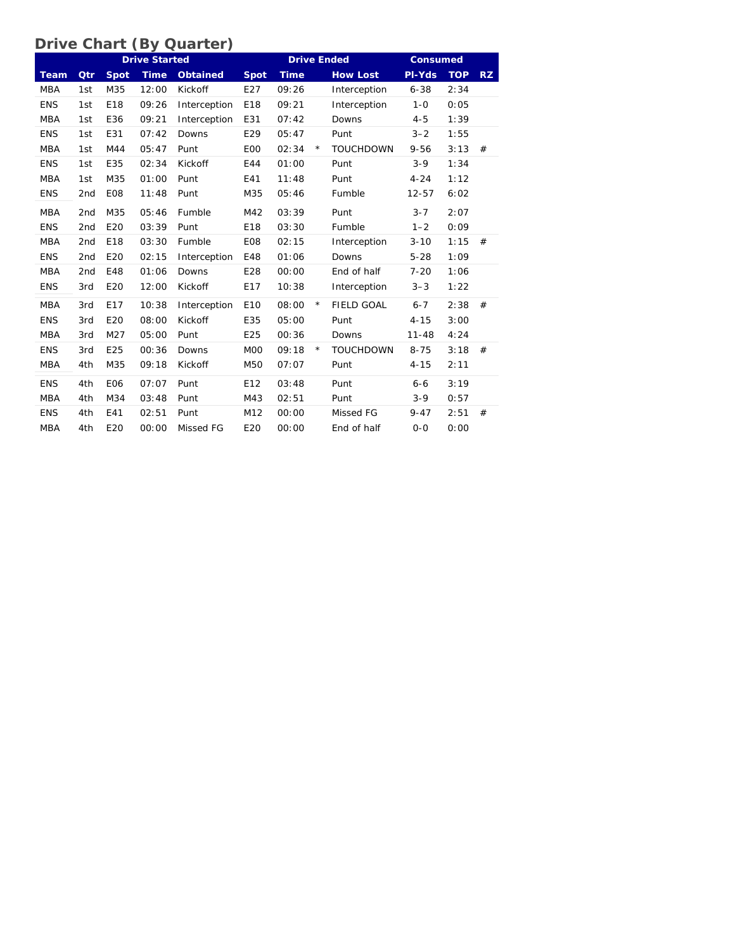#### **Drive Chart (By Quarter)**

|             |                 |                 | <b>Drive Started</b> |                 |                 | <b>Drive Ended</b> |            | <b>Consumed</b>   |           |            |     |
|-------------|-----------------|-----------------|----------------------|-----------------|-----------------|--------------------|------------|-------------------|-----------|------------|-----|
| <b>Team</b> | Qtr             | <b>Spot</b>     | <b>Time</b>          | <b>Obtained</b> | <b>Spot</b>     | <b>Time</b>        |            | <b>How Lost</b>   | PI-Yds    | <b>TOP</b> | RZ. |
| <b>MBA</b>  | 1st             | M35             | 12:00                | Kickoff         | E27             | 09:26              |            | Interception      | $6 - 38$  | 2:34       |     |
| <b>ENS</b>  | 1st             | E18             | 09:26                | Interception    | E18             | 09:21              |            | Interception      | $1 - 0$   | 0:05       |     |
| <b>MBA</b>  | 1st             | E36             | 09:21                | Interception    | E31             | 07:42              |            | Downs             | $4 - 5$   | 1:39       |     |
| <b>ENS</b>  | 1st             | E31             | 07:42                | Downs           | E29             | 05:47              |            | Punt              | $3 - 2$   | 1:55       |     |
| <b>MBA</b>  | 1st             | M44             | 05:47                | Punt            | E <sub>00</sub> | 02:34              | $\star$    | <b>TOUCHDOWN</b>  | $9 - 56$  | 3:13       | #   |
| <b>ENS</b>  | 1st             | E35             | 02:34                | Kickoff         | E44             | 01:00              |            | Punt              | $3 - 9$   | 1:34       |     |
| <b>MBA</b>  | 1st             | M35             | 01:00                | Punt            | E41             | 11:48              |            | Punt              | $4 - 24$  | 1:12       |     |
| <b>ENS</b>  | 2 <sub>nd</sub> | E <sub>08</sub> | 11:48                | Punt            | M35             | 05:46              |            | Fumble            | $12 - 57$ | 6:02       |     |
| <b>MBA</b>  | 2 <sub>nd</sub> | M35             | 05:46                | Fumble          | M42             | 03:39              |            | Punt              | $3 - 7$   | 2:07       |     |
| <b>ENS</b>  | 2nd             | E20             | 03:39                | Punt            | E18             | 03:30              |            | Fumble            | $1 - 2$   | 0:09       |     |
| <b>MBA</b>  | 2 <sub>nd</sub> | E18             | 03:30                | Fumble          | E <sub>08</sub> | 02:15              |            | Interception      | $3 - 10$  | 1:15       | #   |
| <b>ENS</b>  | 2 <sub>nd</sub> | E20             | 02:15                | Interception    | E48             | 01:06              |            | Downs             | $5 - 28$  | 1:09       |     |
| <b>MBA</b>  | 2 <sub>nd</sub> | E48             | 01:06                | Downs           | E28             | 00:00              |            | End of half       | $7 - 20$  | 1:06       |     |
| <b>ENS</b>  | 3rd             | E20             | 12:00                | Kickoff         | E17             | 10:38              |            | Interception      | $3 - 3$   | 1:22       |     |
| <b>MBA</b>  | 3rd             | E17             | 10:38                | Interception    | E10             | 08:00              | $\star$    | <b>FIELD GOAL</b> | $6 - 7$   | 2:38       | #   |
| <b>ENS</b>  | 3rd             | E20             | 08:00                | Kickoff         | E35             | 05:00              |            | Punt              | $4 - 15$  | 3:00       |     |
| <b>MBA</b>  | 3rd             | M27             | 05:00                | Punt            | E25             | 00:36              |            | Downs             | $11 - 48$ | 4:24       |     |
| <b>ENS</b>  | 3rd             | E25             | 00:36                | Downs           | M <sub>0</sub>  | 09:18              | $^{\star}$ | <b>TOUCHDOWN</b>  | $8 - 75$  | 3:18       | #   |
| <b>MBA</b>  | 4th             | M35             | 09:18                | Kickoff         | M50             | 07:07              |            | Punt              | $4 - 15$  | 2:11       |     |
| <b>ENS</b>  | 4th             | <b>E06</b>      | 07:07                | Punt            | E12             | 03:48              |            | Punt              | $6 - 6$   | 3:19       |     |
| <b>MBA</b>  | 4th             | M34             | 03:48                | Punt            | M43             | 02:51              |            | Punt              | $3-9$     | 0:57       |     |
| <b>ENS</b>  | 4th             | E41             | 02:51                | Punt            | M12             | 00:00              |            | Missed FG         | $9 - 47$  | 2:51       | #   |
| <b>MBA</b>  | 4th             | E20             | 00:00                | Missed FG       | E20             | 00:00              |            | End of half       | $0 - 0$   | 0:00       |     |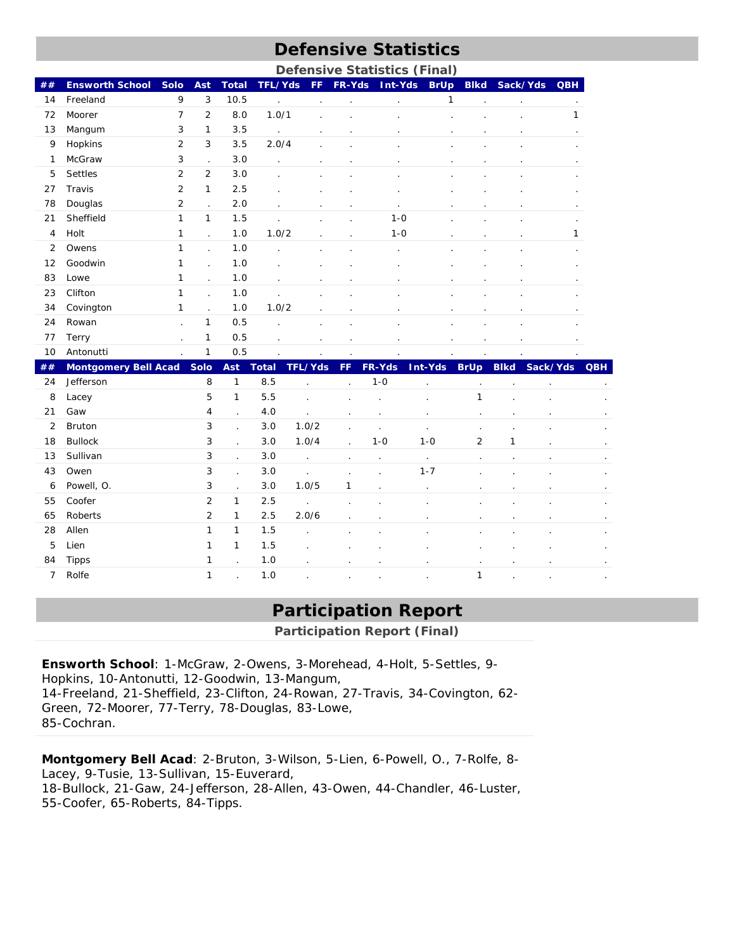# **Defensive Statistics**

|                |                             |                |                      |                      |                      |                      |                      | <b>Defensive Statistics (Final)</b> |                      |                      |                      |                      |            |
|----------------|-----------------------------|----------------|----------------------|----------------------|----------------------|----------------------|----------------------|-------------------------------------|----------------------|----------------------|----------------------|----------------------|------------|
| ##             | <b>Ensworth School</b>      | Solo           | Ast                  | <b>Total</b>         | TFL/Yds              | <b>FF</b>            | FR-Yds               | Int-Yds                             | <b>BrUp</b>          | <b>Blkd</b>          | Sack/Yds QBH         |                      |            |
| 14             | Freeland                    | 9              | 3                    | 10.5                 | $\ddot{\phantom{0}}$ | $\cdot$              | $\ddot{\phantom{0}}$ | ä,                                  | $\mathbf{1}$         |                      |                      | $\blacksquare$       |            |
| 72             | Moorer                      | 7              | $\overline{2}$       | 8.0                  | 1.0/1                |                      |                      |                                     | $\ddot{\phantom{0}}$ |                      |                      | 1                    |            |
| 13             | Mangum                      | 3              | $\mathbf{1}$         | 3.5                  | $\overline{a}$       | $\blacksquare$       |                      | l,                                  | $\cdot$              |                      |                      | $\cdot$              |            |
| 9              | Hopkins                     | $\overline{2}$ | 3                    | 3.5                  | 2.0/4                | $\ddot{\phantom{a}}$ | $\ddot{\phantom{0}}$ | t,                                  | $\ddot{\phantom{0}}$ | ÷,                   | $\cdot$              |                      |            |
| 1              | McGraw                      | 3              | $\ddot{\phantom{a}}$ | 3.0                  | $\ddot{\phantom{0}}$ | $\cdot$              | $\cdot$              | $\ddot{\phantom{0}}$                | $\ddot{\phantom{0}}$ | $\cdot$              |                      | $\blacksquare$       |            |
| 5              | Settles                     | $\overline{2}$ | $\overline{2}$       | 3.0                  | $\overline{a}$       | $\cdot$              | $\ddot{\phantom{a}}$ | $\ddot{\phantom{a}}$                | ÷.                   | $\overline{a}$       |                      |                      |            |
| 27             | Travis                      | 2              | 1                    | 2.5                  | l.                   | $\ddot{\phantom{0}}$ | $\ddot{\phantom{0}}$ | l,                                  | $\ddot{\phantom{0}}$ |                      |                      |                      |            |
| 78             | Douglas                     | $\overline{2}$ | $\ddot{\phantom{a}}$ | 2.0                  | $\epsilon$           | $\cdot$              | $\ddot{\phantom{0}}$ | $\ddot{\phantom{0}}$                | $\ddot{\phantom{0}}$ |                      |                      |                      |            |
| 21             | Sheffield                   | $\mathbf{1}$   | $\mathbf{1}$         | 1.5                  | ÷.                   | $\blacksquare$       | $\blacksquare$       | $1 - 0$                             | $\ddot{\phantom{0}}$ |                      |                      | $\cdot$              |            |
| 4              | Holt                        | 1              | $\ddot{\phantom{a}}$ | 1.0                  | 1.0/2                | $\cdot$              | $\cdot$              | $1 - 0$                             | $\cdot$              |                      |                      | 1                    |            |
| 2              | Owens                       | $\mathbf{1}$   | $\ddot{\phantom{a}}$ | 1.0                  | $\ddot{\phantom{0}}$ | $\epsilon$           | $\ddot{\phantom{0}}$ | $\ddot{\phantom{0}}$                | $\ddot{\phantom{0}}$ | $\epsilon$           | $\cdot$              |                      |            |
| 12             | Goodwin                     | 1              | $\ddot{\phantom{0}}$ | 1.0                  |                      |                      |                      |                                     |                      |                      |                      |                      |            |
| 83             | Lowe                        | 1              | $\overline{a}$       | 1.0                  |                      |                      |                      |                                     |                      |                      |                      |                      |            |
| 23             | Clifton                     | 1              | $\overline{a}$       | 1.0                  |                      |                      |                      |                                     |                      |                      |                      |                      |            |
| 34             | Covington                   | 1              | $\ddot{\phantom{a}}$ | 1.0                  | 1.0/2                |                      |                      |                                     |                      |                      |                      |                      |            |
| 24             | Rowan                       |                | 1                    | 0.5                  |                      |                      |                      |                                     |                      |                      |                      |                      |            |
| 77             | Terry                       |                | $\mathbf 1$          | 0.5                  |                      |                      |                      |                                     |                      |                      |                      |                      |            |
| 10             | Antonutti                   |                | $\mathbf{1}$         | 0.5                  |                      |                      |                      |                                     |                      |                      |                      |                      |            |
| ##             | <b>Montgomery Bell Acad</b> |                | <b>Solo</b>          | Ast                  | <b>Total</b>         | TFL/Yds              | FF                   | FR-Yds                              | <b>Int-Yds</b>       | <b>BrUp</b>          | <b>Blkd</b>          | Sack/Yds             | <b>QBH</b> |
| 24             | Jefferson                   |                | 8                    | $\mathbf{1}$         | 8.5                  |                      |                      | $1 - 0$                             | l,                   | ł.                   |                      |                      |            |
| 8              | Lacey                       |                | 5                    | $\mathbf{1}$         | 5.5                  | $\overline{a}$       |                      | l,                                  | ÷,                   | 1                    |                      |                      |            |
| 21             | Gaw                         |                | 4                    | $\ddot{\phantom{0}}$ | 4.0                  | l.                   | ÷.                   | l,                                  | ÷,                   | ÷,                   | $\ddot{\phantom{a}}$ | $\ddot{\phantom{a}}$ |            |
| $\overline{2}$ | Bruton                      |                | 3                    | $\ddot{\phantom{0}}$ | 3.0                  | 1.0/2                | l.                   | ¥.                                  | $\ddot{\phantom{0}}$ | $\ddot{\phantom{a}}$ |                      |                      |            |
| 18             | <b>Bullock</b>              |                | 3                    | $\ddot{\phantom{0}}$ | 3.0                  | 1.0/4                | t,                   | $1 - 0$                             | $1 - 0$              | $\overline{2}$       | $\mathbf{1}$         |                      |            |
| 13             | Sullivan                    |                | 3                    | $\ddot{\phantom{a}}$ | 3.0                  | $\ddot{\phantom{a}}$ | $\ddot{\phantom{0}}$ | ¥,                                  | ä,                   | ÷.                   | $\cdot$              | $\cdot$              |            |
| 43             | Owen                        |                | 3                    | $\ddot{\phantom{a}}$ | 3.0                  | ÷,                   | ÷,                   | ä,                                  | $1 - 7$              | $\ddot{\phantom{0}}$ | $\cdot$              | $\cdot$              |            |
| 6              | Powell, O.                  |                | 3                    | $\ddot{\phantom{a}}$ | 3.0                  | 1.0/5                | 1                    | l.                                  | ÷.                   | ÷,                   | $\ddot{\phantom{a}}$ | $\ddot{\phantom{a}}$ |            |
| 55             | Coofer                      |                | $\overline{2}$       | $\mathbf{1}$         | 2.5                  | $\overline{a}$       | ÷,                   | l,                                  | l,                   | l,                   |                      |                      |            |
| 65             | Roberts                     |                | $\overline{2}$       | $\mathbf{1}$         | 2.5                  | 2.0/6                |                      | ÷,                                  | ÷.                   |                      |                      | $\epsilon$           |            |
| 28             | Allen                       |                | 1                    | $\mathbf{1}$         | 1.5                  | l.                   |                      |                                     | ä,                   | ä,                   |                      | ٠                    |            |
| 5              | Lien                        |                | 1                    | $\mathbf{1}$         | 1.5                  | ÷,                   |                      |                                     |                      | ÷,                   |                      |                      |            |
| 84             | <b>Tipps</b>                |                | 1                    | $\ddot{\phantom{0}}$ | 1.0                  | ÷,                   | ÷.                   | ÷.                                  | ÷,                   | ÷,                   | $\cdot$              |                      |            |
| $\overline{7}$ | Rolfe                       |                | 1                    | $\ddot{\phantom{0}}$ | 1.0                  |                      |                      |                                     |                      | 1                    |                      |                      |            |

## **Participation Report**

**Participation Report (Final)** 

**Ensworth School**: 1-McGraw, 2-Owens, 3-Morehead, 4-Holt, 5-Settles, 9- Hopkins, 10-Antonutti, 12-Goodwin, 13-Mangum, 14-Freeland, 21-Sheffield, 23-Clifton, 24-Rowan, 27-Travis, 34-Covington, 62- Green, 72-Moorer, 77-Terry, 78-Douglas, 83-Lowe, 85-Cochran.

**Montgomery Bell Acad**: 2-Bruton, 3-Wilson, 5-Lien, 6-Powell, O., 7-Rolfe, 8- Lacey, 9-Tusie, 13-Sullivan, 15-Euverard, 18-Bullock, 21-Gaw, 24-Jefferson, 28-Allen, 43-Owen, 44-Chandler, 46-Luster, 55-Coofer, 65-Roberts, 84-Tipps.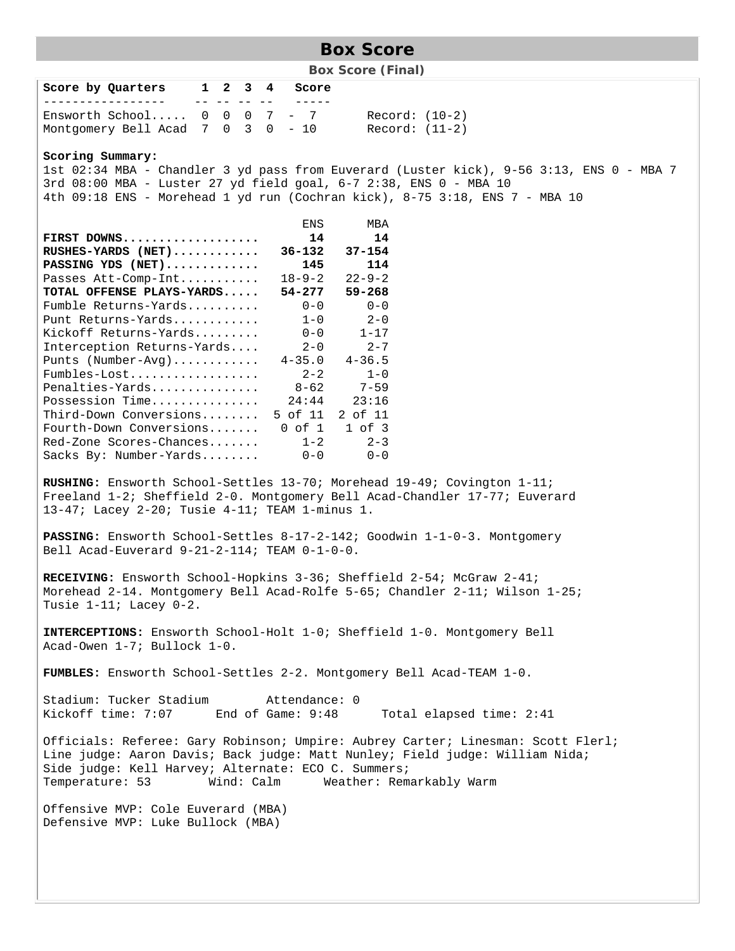# **Box Score**

**Box Score (Final)** 

| Score by Quarters 1 2 3 4                                                                                                                                                                                                                                                                                                                                                                                 |                                                                                                                                                                                                                                                                   |  |                                                                                 | Score                                                                                                                                                                              |                                                                                                                                                                                                                                              |  |  |  |  |
|-----------------------------------------------------------------------------------------------------------------------------------------------------------------------------------------------------------------------------------------------------------------------------------------------------------------------------------------------------------------------------------------------------------|-------------------------------------------------------------------------------------------------------------------------------------------------------------------------------------------------------------------------------------------------------------------|--|---------------------------------------------------------------------------------|------------------------------------------------------------------------------------------------------------------------------------------------------------------------------------|----------------------------------------------------------------------------------------------------------------------------------------------------------------------------------------------------------------------------------------------|--|--|--|--|
| Ensworth School $0 \t 0 \t 7 - 7$<br>Montgomery Bell Acad 7 0 3 0 - 10                                                                                                                                                                                                                                                                                                                                    |                                                                                                                                                                                                                                                                   |  | $\mathcal{L} = \mathcal{L} \times \mathcal{L} = \mathcal{L} \times \mathcal{L}$ |                                                                                                                                                                                    | $Record: (10-2)$<br>$Record: (11-2)$                                                                                                                                                                                                         |  |  |  |  |
| Scoring Summary:                                                                                                                                                                                                                                                                                                                                                                                          |                                                                                                                                                                                                                                                                   |  |                                                                                 |                                                                                                                                                                                    | 1st 02:34 MBA - Chandler 3 yd pass from Euverard (Luster kick), 9-56 3:13, ENS 0 - MBA 7<br>3rd 08:00 MBA - Luster 27 yd field goal, 6-7 2:38, ENS 0 - MBA 10<br>4th 09:18 ENS - Morehead 1 yd run (Cochran kick), 8-75 3:18, ENS 7 - MBA 10 |  |  |  |  |
| FIRST DOWNS<br>$RUSHES-YARDS$ (NET)<br>PASSING YDS $(NET)$<br>Passes Att-Comp-Int<br>TOTAL OFFENSE PLAYS-YARDS<br>Fumble Returns-Yards<br>Punt Returns-Yards<br>Kickoff Returns-Yards<br>Interception Returns-Yards<br>Punts (Number-Avg)<br>Fumbles-Lost<br>Penalties-Yards<br>Possession Time<br>Third-Down Conversions<br>Fourth-Down Conversions<br>Red-Zone Scores-Chances<br>Sacks By: Number-Yards |                                                                                                                                                                                                                                                                   |  |                                                                                 | ENS<br>14<br>36-132<br>145<br>$18 - 9 - 2$<br>54-277<br>$0 - 0$<br>$1 - 0$<br>$0 - 0$<br>$2 - 0$<br>$4 - 35.0$<br>$2 - 2$<br>$8 - 62$<br>24:44<br>$0$ of $1$<br>$1 - 2$<br>$0 - 0$ | MBA<br>14<br>$37 - 154$<br>114<br>$22 - 9 - 2$<br>$59 - 268$<br>$0 - 0$<br>$2 - 0$<br>$1 - 17$<br>$2 - 7$<br>$4 - 36.5$<br>$1 - 0$<br>$7 - 59$<br>23:16<br>5 of 11 2 of 11<br>$1$ of $3$<br>$2 - 3$<br>$0 - 0$                               |  |  |  |  |
| RUSHING: Ensworth School-Settles 13-70; Morehead 19-49; Covington 1-11;<br>Freeland 1-2; Sheffield 2-0. Montgomery Bell Acad-Chandler 17-77; Euverard<br>13-47; Lacey 2-20; Tusie 4-11; TEAM 1-minus 1.<br>PASSING: Ensworth School-Settles 8-17-2-142; Goodwin 1-1-0-3. Montgomery                                                                                                                       |                                                                                                                                                                                                                                                                   |  |                                                                                 |                                                                                                                                                                                    |                                                                                                                                                                                                                                              |  |  |  |  |
| Bell Acad-Euverard 9-21-2-114; TEAM 0-1-0-0.<br>Tusie 1-11; Lacey 0-2.                                                                                                                                                                                                                                                                                                                                    |                                                                                                                                                                                                                                                                   |  |                                                                                 |                                                                                                                                                                                    | RECEIVING: Ensworth School-Hopkins 3-36; Sheffield 2-54; McGraw 2-41;<br>Morehead 2-14. Montgomery Bell Acad-Rolfe 5-65; Chandler 2-11; Wilson 1-25;<br>INTERCEPTIONS: Ensworth School-Holt 1-0; Sheffield 1-0. Montgomery Bell              |  |  |  |  |
| Acad-Owen 1-7; Bullock 1-0.                                                                                                                                                                                                                                                                                                                                                                               |                                                                                                                                                                                                                                                                   |  |                                                                                 |                                                                                                                                                                                    |                                                                                                                                                                                                                                              |  |  |  |  |
|                                                                                                                                                                                                                                                                                                                                                                                                           |                                                                                                                                                                                                                                                                   |  |                                                                                 |                                                                                                                                                                                    | FUMBLES: Ensworth School-Settles 2-2. Montgomery Bell Acad-TEAM 1-0.                                                                                                                                                                         |  |  |  |  |
| Stadium: Tucker Stadium<br>Kickoff time: 7:07 End of Game: 9:48                                                                                                                                                                                                                                                                                                                                           |                                                                                                                                                                                                                                                                   |  |                                                                                 | Attendance: 0                                                                                                                                                                      | Total elapsed time: 2:41                                                                                                                                                                                                                     |  |  |  |  |
| Temperature: 53                                                                                                                                                                                                                                                                                                                                                                                           | Officials: Referee: Gary Robinson; Umpire: Aubrey Carter; Linesman: Scott Flerl;<br>Line judge: Aaron Davis; Back judge: Matt Nunley; Field judge: William Nida;<br>Side judge: Kell Harvey; Alternate: ECO C. Summers;<br>Wind: Calm<br>Weather: Remarkably Warm |  |                                                                                 |                                                                                                                                                                                    |                                                                                                                                                                                                                                              |  |  |  |  |
| Offensive MVP: Cole Euverard (MBA)<br>Defensive MVP: Luke Bullock (MBA)                                                                                                                                                                                                                                                                                                                                   |                                                                                                                                                                                                                                                                   |  |                                                                                 |                                                                                                                                                                                    |                                                                                                                                                                                                                                              |  |  |  |  |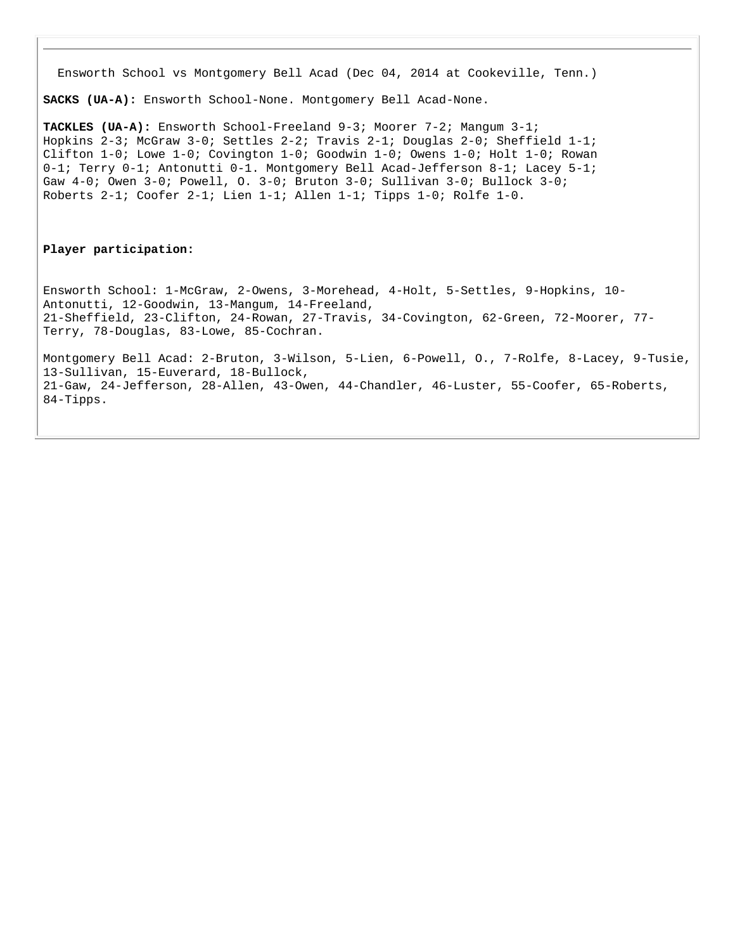Ensworth School vs Montgomery Bell Acad (Dec 04, 2014 at Cookeville, Tenn.)

**SACKS (UA-A):** Ensworth School-None. Montgomery Bell Acad-None.

**TACKLES (UA-A):** Ensworth School-Freeland 9-3; Moorer 7-2; Mangum 3-1; Hopkins 2-3; McGraw 3-0; Settles 2-2; Travis 2-1; Douglas 2-0; Sheffield 1-1; Clifton 1-0; Lowe 1-0; Covington 1-0; Goodwin 1-0; Owens 1-0; Holt 1-0; Rowan 0-1; Terry 0-1; Antonutti 0-1. Montgomery Bell Acad-Jefferson 8-1; Lacey 5-1; Gaw 4-0; Owen 3-0; Powell, O. 3-0; Bruton 3-0; Sullivan 3-0; Bullock 3-0; Roberts 2-1; Coofer 2-1; Lien 1-1; Allen 1-1; Tipps 1-0; Rolfe 1-0.

#### **Player participation:**

Ensworth School: 1-McGraw, 2-Owens, 3-Morehead, 4-Holt, 5-Settles, 9-Hopkins, 10- Antonutti, 12-Goodwin, 13-Mangum, 14-Freeland, 21-Sheffield, 23-Clifton, 24-Rowan, 27-Travis, 34-Covington, 62-Green, 72-Moorer, 77- Terry, 78-Douglas, 83-Lowe, 85-Cochran.

Montgomery Bell Acad: 2-Bruton, 3-Wilson, 5-Lien, 6-Powell, O., 7-Rolfe, 8-Lacey, 9-Tusie, 13-Sullivan, 15-Euverard, 18-Bullock, 21-Gaw, 24-Jefferson, 28-Allen, 43-Owen, 44-Chandler, 46-Luster, 55-Coofer, 65-Roberts, 84-Tipps.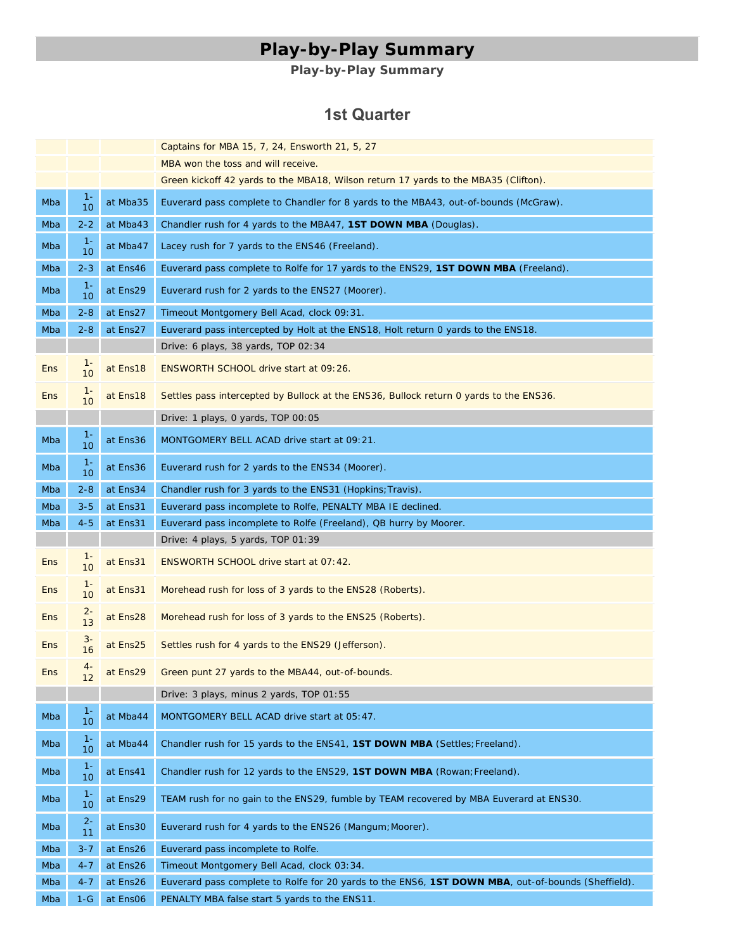# **Play-by-Play Summary**

## **Play-by-Play Summary**

#### **1st Quarter**

|            |             |          | Captains for MBA 15, 7, 24, Ensworth 21, 5, 27                                                     |
|------------|-------------|----------|----------------------------------------------------------------------------------------------------|
|            |             |          | MBA won the toss and will receive.                                                                 |
|            |             |          | Green kickoff 42 yards to the MBA18, Wilson return 17 yards to the MBA35 (Clifton).                |
| Mba        | $1 -$<br>10 | at Mba35 | Euverard pass complete to Chandler for 8 yards to the MBA43, out-of-bounds (McGraw).               |
| Mba        | $2 - 2$     | at Mba43 | Chandler rush for 4 yards to the MBA47, 1ST DOWN MBA (Douglas).                                    |
| Mba        | $1 -$<br>10 | at Mba47 | Lacey rush for 7 yards to the ENS46 (Freeland).                                                    |
| Mba        | $2 - 3$     | at Ens46 | Euverard pass complete to Rolfe for 17 yards to the ENS29, 1ST DOWN MBA (Freeland).                |
| Mba        | $1 -$<br>10 | at Ens29 | Euverard rush for 2 yards to the ENS27 (Moorer).                                                   |
| Mba        | $2 - 8$     | at Ens27 | Timeout Montgomery Bell Acad, clock 09:31.                                                         |
| Mba        | $2 - 8$     | at Ens27 | Euverard pass intercepted by Holt at the ENS18, Holt return 0 yards to the ENS18.                  |
|            |             |          | Drive: 6 plays, 38 yards, TOP 02:34                                                                |
| <b>Ens</b> | $1 -$<br>10 | at Ens18 | ENSWORTH SCHOOL drive start at 09:26.                                                              |
| Ens        | $1 -$<br>10 | at Ens18 | Settles pass intercepted by Bullock at the ENS36, Bullock return 0 yards to the ENS36.             |
|            |             |          | Drive: 1 plays, 0 yards, TOP 00:05                                                                 |
| Mba        | $1 -$<br>10 | at Ens36 | MONTGOMERY BELL ACAD drive start at 09:21.                                                         |
| Mba        | $1 -$<br>10 | at Ens36 | Euverard rush for 2 yards to the ENS34 (Moorer).                                                   |
| Mba        | $2 - 8$     | at Ens34 | Chandler rush for 3 yards to the ENS31 (Hopkins; Travis).                                          |
| Mba        | $3 - 5$     | at Ens31 | Euverard pass incomplete to Rolfe, PENALTY MBA IE declined.                                        |
| Mba        | $4 - 5$     | at Ens31 | Euverard pass incomplete to Rolfe (Freeland), QB hurry by Moorer.                                  |
|            |             |          | Drive: 4 plays, 5 yards, TOP 01:39                                                                 |
|            |             |          |                                                                                                    |
| Ens        | $1 -$<br>10 | at Ens31 | ENSWORTH SCHOOL drive start at 07:42.                                                              |
| <b>Ens</b> | $1 -$<br>10 | at Ens31 | Morehead rush for loss of 3 yards to the ENS28 (Roberts).                                          |
| <b>Ens</b> | $2 -$<br>13 | at Ens28 | Morehead rush for loss of 3 yards to the ENS25 (Roberts).                                          |
| Ens        | $3-$<br>16  | at Ens25 | Settles rush for 4 yards to the ENS29 (Jefferson).                                                 |
| Ens        | 4-          | at Ens29 | Green punt 27 yards to the MBA44, out-of-bounds.                                                   |
|            |             |          | Drive: 3 plays, minus 2 yards, TOP 01:55                                                           |
| Mba        | $1 -$<br>10 | at Mba44 | MONTGOMERY BELL ACAD drive start at 05:47.                                                         |
| Mba        | $1-$<br>10  | at Mba44 | Chandler rush for 15 yards to the ENS41, 1ST DOWN MBA (Settles; Freeland).                         |
| Mba        | $1 -$<br>10 | at Ens41 | Chandler rush for 12 yards to the ENS29, 1ST DOWN MBA (Rowan; Freeland).                           |
| Mba        | $1 -$<br>10 | at Ens29 | TEAM rush for no gain to the ENS29, fumble by TEAM recovered by MBA Euverard at ENS30.             |
| Mba        | $2 -$<br>11 | at Ens30 | Euverard rush for 4 yards to the ENS26 (Mangum; Moorer).                                           |
| Mba        | $3 - 7$     | at Ens26 | Euverard pass incomplete to Rolfe.                                                                 |
| Mba        | $4 - 7$     | at Ens26 | Timeout Montgomery Bell Acad, clock 03:34.                                                         |
| Mba        | $4 - 7$     | at Ens26 | Euverard pass complete to Rolfe for 20 yards to the ENS6, 1ST DOWN MBA, out-of-bounds (Sheffield). |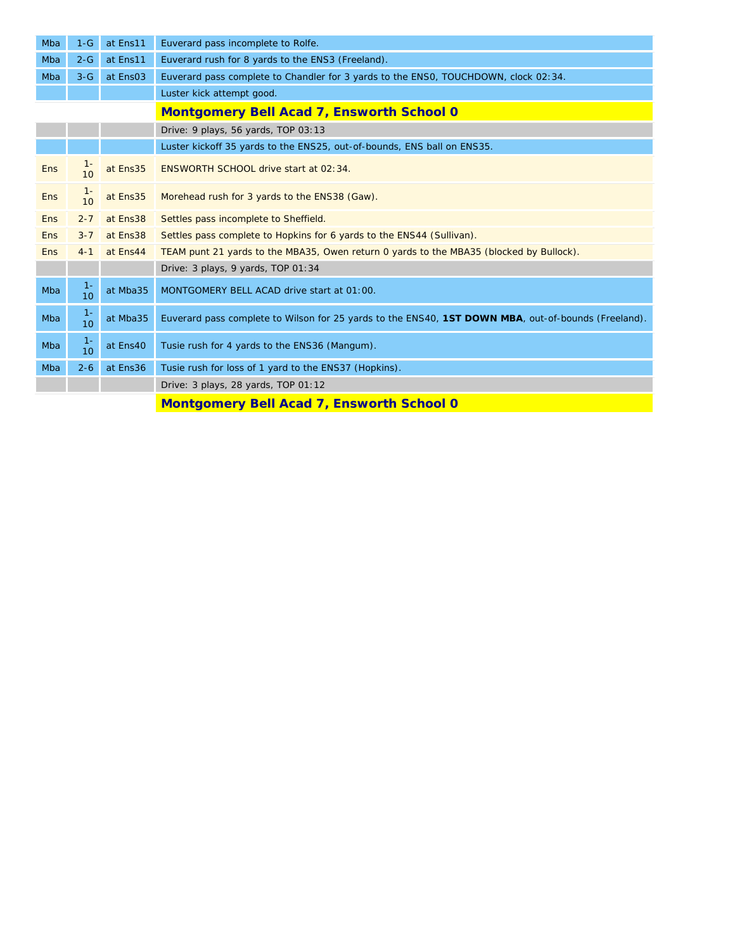| Mba        | $1-G$                     | at Ens11 | Euverard pass incomplete to Rolfe.                                                                  |  |  |  |  |  |  |  |
|------------|---------------------------|----------|-----------------------------------------------------------------------------------------------------|--|--|--|--|--|--|--|
| Mba        | $2-G$                     | at Ens11 | Euverard rush for 8 yards to the ENS3 (Freeland).                                                   |  |  |  |  |  |  |  |
| Mba        | $3-G$                     | at Ens03 | Euverard pass complete to Chandler for 3 yards to the ENSO, TOUCHDOWN, clock 02:34.                 |  |  |  |  |  |  |  |
|            |                           |          | Luster kick attempt good.                                                                           |  |  |  |  |  |  |  |
|            |                           |          | <b>Montgomery Bell Acad 7, Ensworth School 0</b>                                                    |  |  |  |  |  |  |  |
|            |                           |          | Drive: 9 plays, 56 yards, TOP 03:13                                                                 |  |  |  |  |  |  |  |
|            |                           |          | Luster kickoff 35 yards to the ENS25, out-of-bounds, ENS ball on ENS35.                             |  |  |  |  |  |  |  |
| Ens        | $1 -$<br>10               | at Ens35 | ENSWORTH SCHOOL drive start at 02:34.                                                               |  |  |  |  |  |  |  |
| Ens        | $\frac{1}{10}$            | at Ens35 | Morehead rush for 3 yards to the ENS38 (Gaw).                                                       |  |  |  |  |  |  |  |
| Ens        | $2 - 7$                   | at Ens38 | Settles pass incomplete to Sheffield.                                                               |  |  |  |  |  |  |  |
| <b>Ens</b> | $3 - 7$                   | at Ens38 | Settles pass complete to Hopkins for 6 yards to the ENS44 (Sullivan).                               |  |  |  |  |  |  |  |
| Ens        | $4 - 1$                   | at Ens44 | TEAM punt 21 yards to the MBA35, Owen return 0 yards to the MBA35 (blocked by Bullock).             |  |  |  |  |  |  |  |
|            |                           |          | Drive: 3 plays, 9 yards, TOP 01:34                                                                  |  |  |  |  |  |  |  |
| Mba        | $1 -$<br>10 <sup>1</sup>  | at Mba35 | MONTGOMERY BELL ACAD drive start at 01:00.                                                          |  |  |  |  |  |  |  |
| Mba        | $1 -$<br>10 <sup>1</sup>  | at Mba35 | Euverard pass complete to Wilson for 25 yards to the ENS40, 1ST DOWN MBA, out-of-bounds (Freeland). |  |  |  |  |  |  |  |
| Mba        | $1 -$<br>10 <sup>10</sup> | at Ens40 | Tusie rush for 4 yards to the ENS36 (Mangum).                                                       |  |  |  |  |  |  |  |
| Mba        | $2 - 6$                   | at Ens36 | Tusie rush for loss of 1 yard to the ENS37 (Hopkins).                                               |  |  |  |  |  |  |  |
|            |                           |          | Drive: 3 plays, 28 yards, TOP 01:12                                                                 |  |  |  |  |  |  |  |
|            |                           |          | <b>Montgomery Bell Acad 7, Ensworth School 0</b>                                                    |  |  |  |  |  |  |  |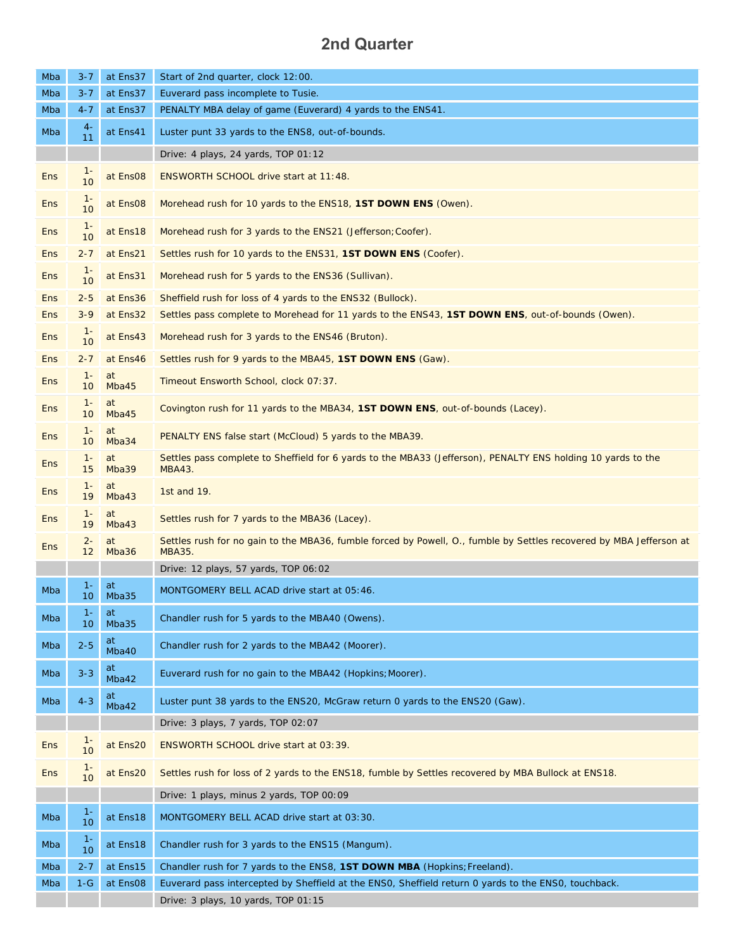# **2nd Quarter**

| Mba        | $3 - 7$     | at Ens37             | Start of 2nd quarter, clock 12:00.                                                                                            |
|------------|-------------|----------------------|-------------------------------------------------------------------------------------------------------------------------------|
| Mba        | $3 - 7$     | at Ens37             | Euverard pass incomplete to Tusie.                                                                                            |
| Mba        | $4 - 7$     | at Ens37             | PENALTY MBA delay of game (Euverard) 4 yards to the ENS41.                                                                    |
| Mba        | $4-$<br>11  | at Ens41             | Luster punt 33 yards to the ENS8, out-of-bounds.                                                                              |
|            |             |                      | Drive: 4 plays, 24 yards, TOP 01:12                                                                                           |
| <b>Ens</b> | $1 -$<br>10 | at Ens08             | ENSWORTH SCHOOL drive start at 11:48.                                                                                         |
| <b>Ens</b> | $1 -$<br>10 | at Ens <sub>08</sub> | Morehead rush for 10 yards to the ENS18, 1ST DOWN ENS (Owen).                                                                 |
| <b>Ens</b> | $1 -$<br>10 | at Ens18             | Morehead rush for 3 yards to the ENS21 (Jefferson; Coofer).                                                                   |
| <b>Ens</b> | $2 - 7$     | at Ens21             | Settles rush for 10 yards to the ENS31, 1ST DOWN ENS (Coofer).                                                                |
| <b>Ens</b> | $1 -$<br>10 | at Ens31             | Morehead rush for 5 yards to the ENS36 (Sullivan).                                                                            |
| <b>Ens</b> | $2 - 5$     | at Ens36             | Sheffield rush for loss of 4 yards to the ENS32 (Bullock).                                                                    |
| <b>Ens</b> | $3 - 9$     | at Ens32             | Settles pass complete to Morehead for 11 yards to the ENS43, 1ST DOWN ENS, out-of-bounds (Owen).                              |
| <b>Ens</b> | $1 -$<br>10 | at Ens43             | Morehead rush for 3 yards to the ENS46 (Bruton).                                                                              |
| <b>Ens</b> | $2 - 7$     | at Ens46             | Settles rush for 9 yards to the MBA45, <b>1ST DOWN ENS</b> (Gaw).                                                             |
| <b>Ens</b> | $1 -$<br>10 | at<br>Mba45          | Timeout Ensworth School, clock 07:37.                                                                                         |
| <b>Ens</b> | $1 -$<br>10 | at<br>Mba45          | Covington rush for 11 yards to the MBA34, 1ST DOWN ENS, out-of-bounds (Lacey).                                                |
| <b>Ens</b> | $1 -$<br>10 | at<br>Mba34          | PENALTY ENS false start (McCloud) 5 yards to the MBA39.                                                                       |
| <b>Ens</b> | $1 -$<br>15 | at<br>Mba39          | Settles pass complete to Sheffield for 6 yards to the MBA33 (Jefferson), PENALTY ENS holding 10 yards to the<br>MBA43.        |
| <b>Ens</b> | $1 -$<br>19 | at<br>Mba43          | 1st and 19.                                                                                                                   |
| <b>Ens</b> | $1 -$<br>19 | at<br>Mba43          | Settles rush for 7 yards to the MBA36 (Lacey).                                                                                |
| <b>Ens</b> | $2 -$<br>12 | at<br>Mba36          | Settles rush for no gain to the MBA36, fumble forced by Powell, O., fumble by Settles recovered by MBA Jefferson at<br>MBA35. |
|            |             |                      | Drive: 12 plays, 57 yards, TOP 06:02                                                                                          |
| Mba        | $1 -$<br>10 | at<br>Mba35          | MONTGOMERY BELL ACAD drive start at 05:46.                                                                                    |
| Mba        | $1 -$<br>10 | at<br>Mba35          | Chandler rush for 5 yards to the MBA40 (Owens).                                                                               |
| Mba        | $2 - 5$     | at<br>Mba40          | Chandler rush for 2 yards to the MBA42 (Moorer).                                                                              |
| Mba        | $3 - 3$     | at<br>Mba42          | Euverard rush for no gain to the MBA42 (Hopkins; Moorer).                                                                     |
| Mba        | $4 - 3$     | at<br>Mba42          | Luster punt 38 yards to the ENS20, McGraw return 0 yards to the ENS20 (Gaw).                                                  |
|            |             |                      | Drive: 3 plays, 7 yards, TOP 02:07                                                                                            |
| <b>Ens</b> | $1 -$<br>10 | at Ens20             | ENSWORTH SCHOOL drive start at 03:39.                                                                                         |
| <b>Ens</b> | $1 -$<br>10 | at Ens20             | Settles rush for loss of 2 yards to the ENS18, fumble by Settles recovered by MBA Bullock at ENS18.                           |
|            |             |                      | Drive: 1 plays, minus 2 yards, TOP 00:09                                                                                      |
| Mba        | $1 -$<br>10 | at Ens18             | MONTGOMERY BELL ACAD drive start at 03:30.                                                                                    |
| Mba        | $1-$<br>10  | at Ens18             | Chandler rush for 3 yards to the ENS15 (Mangum).                                                                              |
| Mba        | $2 - 7$     | at Ens15             | Chandler rush for 7 yards to the ENS8, 1ST DOWN MBA (Hopkins; Freeland).                                                      |
| Mba        | $1-G$       | at Ens08             | Euverard pass intercepted by Sheffield at the ENSO, Sheffield return 0 yards to the ENSO, touchback.                          |
|            |             |                      | Drive: 3 plays, 10 yards, TOP 01:15                                                                                           |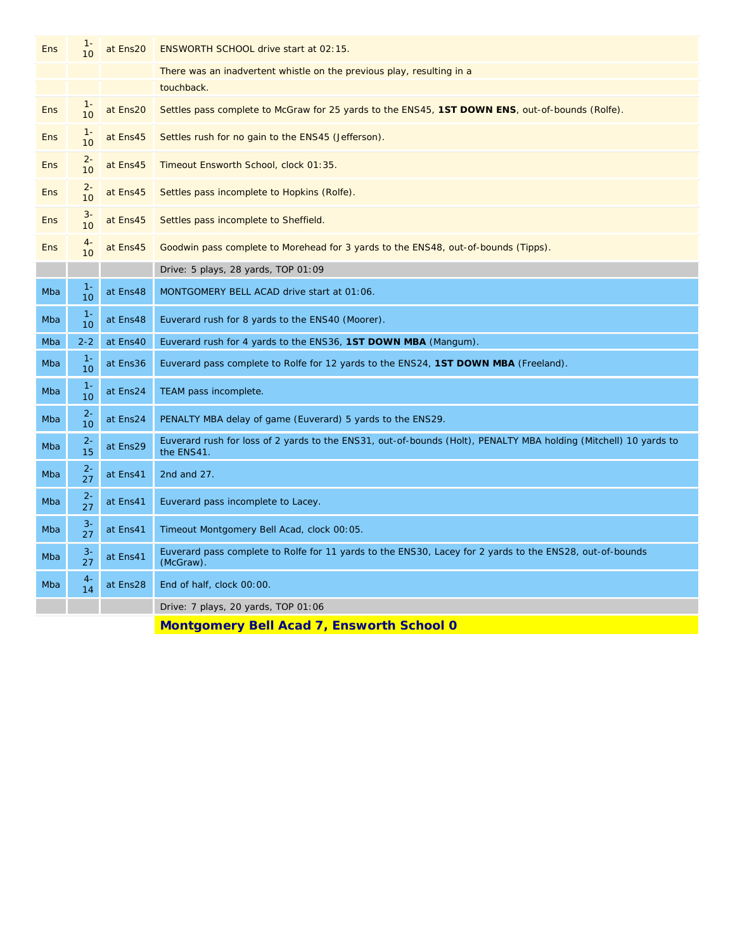| <b>Ens</b> | $1 -$<br>10               | at Ens20 | ENSWORTH SCHOOL drive start at 02:15.                                                                                          |
|------------|---------------------------|----------|--------------------------------------------------------------------------------------------------------------------------------|
|            |                           |          | There was an inadvertent whistle on the previous play, resulting in a                                                          |
|            |                           |          | touchback.                                                                                                                     |
| <b>Ens</b> | $1 -$<br>10               | at Ens20 | Settles pass complete to McGraw for 25 yards to the ENS45, 1ST DOWN ENS, out-of-bounds (Rolfe).                                |
| Ens        | $1 -$<br>10               | at Ens45 | Settles rush for no gain to the ENS45 (Jefferson).                                                                             |
| <b>Ens</b> | $2 -$<br>10               | at Ens45 | Timeout Ensworth School, clock 01:35.                                                                                          |
| <b>Ens</b> | $2 -$<br>10               | at Ens45 | Settles pass incomplete to Hopkins (Rolfe).                                                                                    |
| <b>Ens</b> | $3-$<br>10                | at Ens45 | Settles pass incomplete to Sheffield.                                                                                          |
| <b>Ens</b> | 4-<br>10                  | at Ens45 | Goodwin pass complete to Morehead for 3 yards to the ENS48, out-of-bounds (Tipps).                                             |
|            |                           |          | Drive: 5 plays, 28 yards, TOP 01:09                                                                                            |
| Mba        | $1 -$<br>10               | at Ens48 | MONTGOMERY BELL ACAD drive start at 01:06.                                                                                     |
| Mba        | $1 -$<br>10 <sup>10</sup> | at Ens48 | Euverard rush for 8 yards to the ENS40 (Moorer).                                                                               |
| Mba        | $2 - 2$                   | at Ens40 | Euverard rush for 4 yards to the ENS36, <b>1ST DOWN MBA</b> (Mangum).                                                          |
| Mba        | $1 -$<br>10               | at Ens36 | Euverard pass complete to Rolfe for 12 yards to the ENS24, 1ST DOWN MBA (Freeland).                                            |
| Mba        | $1 -$<br>10               | at Ens24 | TEAM pass incomplete.                                                                                                          |
| Mba        | $2 -$<br>10               | at Ens24 | PENALTY MBA delay of game (Euverard) 5 yards to the ENS29.                                                                     |
| Mba        | $2 -$<br>15               | at Ens29 | Euverard rush for loss of 2 yards to the ENS31, out-of-bounds (Holt), PENALTY MBA holding (Mitchell) 10 yards to<br>the ENS41. |
| Mba        | $2 -$<br>27               | at Ens41 | 2nd and 27.                                                                                                                    |
| Mba        | $2 -$<br>27               | at Ens41 | Euverard pass incomplete to Lacey.                                                                                             |
| Mba        | $3-$<br>27                | at Ens41 | Timeout Montgomery Bell Acad, clock 00:05.                                                                                     |
| Mba        | $3-$<br>27                | at Ens41 | Euverard pass complete to Rolfe for 11 yards to the ENS30, Lacey for 2 yards to the ENS28, out-of-bounds<br>(McGraw).          |
| Mba        | $4-$<br>14                | at Ens28 | End of half, clock 00:00.                                                                                                      |
|            |                           |          | Drive: 7 plays, 20 yards, TOP 01:06                                                                                            |
|            |                           |          |                                                                                                                                |

**Montgomery Bell Acad 7, Ensworth School 0**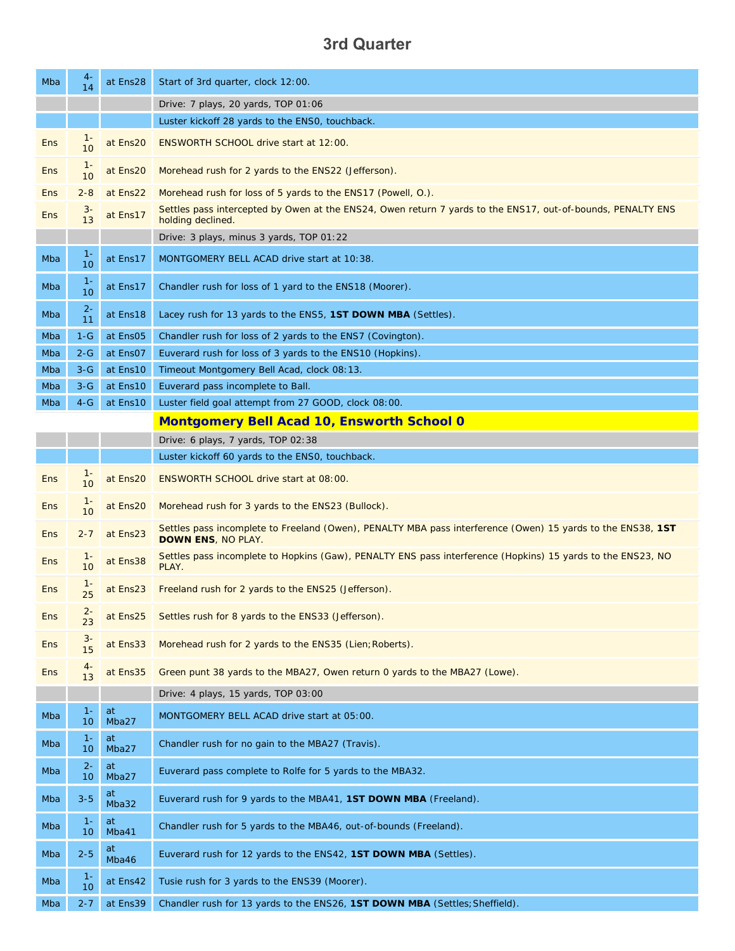# **3rd Quarter**

| Mba        | $4-$<br>14               | at Ens28    | Start of 3rd quarter, clock 12:00.                                                                                                       |
|------------|--------------------------|-------------|------------------------------------------------------------------------------------------------------------------------------------------|
|            |                          |             | Drive: 7 plays, 20 yards, TOP 01:06                                                                                                      |
|            |                          |             | Luster kickoff 28 yards to the ENSO, touchback.                                                                                          |
| <b>Ens</b> | 10                       | at Ens20    | ENSWORTH SCHOOL drive start at 12:00.                                                                                                    |
| <b>Ens</b> | $1 -$<br>10              | at Ens20    | Morehead rush for 2 yards to the ENS22 (Jefferson).                                                                                      |
| <b>Ens</b> | $2 - 8$                  | at Ens22    | Morehead rush for loss of 5 yards to the ENS17 (Powell, O.).                                                                             |
| <b>Ens</b> | $3-$<br>13               | at Ens17    | Settles pass intercepted by Owen at the ENS24, Owen return 7 yards to the ENS17, out-of-bounds, PENALTY ENS<br>holding declined.         |
|            |                          |             | Drive: 3 plays, minus 3 yards, TOP 01:22                                                                                                 |
| Mba        | $1 -$<br>10              | at Ens17    | MONTGOMERY BELL ACAD drive start at 10:38.                                                                                               |
| Mba        | $1 -$<br>10              | at Ens17    | Chandler rush for loss of 1 yard to the ENS18 (Moorer).                                                                                  |
| Mba        | $2 -$<br>11              | at Ens18    | Lacey rush for 13 yards to the ENS5, <b>1ST DOWN MBA</b> (Settles).                                                                      |
| Mba        | $1-G$                    | at Ens05    | Chandler rush for loss of 2 yards to the ENS7 (Covington).                                                                               |
| Mba        | $2 - G$                  | at Ens07    | Euverard rush for loss of 3 yards to the ENS10 (Hopkins).                                                                                |
| Mba        | $3-G$                    | at Ens10    | Timeout Montgomery Bell Acad, clock 08:13.                                                                                               |
| Mba        | $3-G$                    | at Ens10    | Euverard pass incomplete to Ball.                                                                                                        |
| Mba        | $4-G$                    | at Ens10    | Luster field goal attempt from 27 GOOD, clock 08:00.                                                                                     |
|            |                          |             | <b>Montgomery Bell Acad 10, Ensworth School 0</b>                                                                                        |
|            |                          |             | Drive: 6 plays, 7 yards, TOP 02:38                                                                                                       |
|            |                          |             | Luster kickoff 60 yards to the ENS0, touchback.                                                                                          |
| <b>Ens</b> | $1 -$<br>10              | at Ens20    | ENSWORTH SCHOOL drive start at 08:00.                                                                                                    |
| <b>Ens</b> | $1 -$<br>10              | at Ens20    | Morehead rush for 3 yards to the ENS23 (Bullock).                                                                                        |
| <b>Ens</b> | $2 - 7$                  | at Ens23    | Settles pass incomplete to Freeland (Owen), PENALTY MBA pass interference (Owen) 15 yards to the ENS38, 1ST<br><b>DOWN ENS, NO PLAY.</b> |
| <b>Ens</b> | 10                       | at Ens38    | Settles pass incomplete to Hopkins (Gaw), PENALTY ENS pass interference (Hopkins) 15 yards to the ENS23, NO<br>PLAY.                     |
| <b>Ens</b> | 25                       | at Ens23    | Freeland rush for 2 yards to the ENS25 (Jefferson).                                                                                      |
| <b>Ens</b> | 23                       | at Ens25    | Settles rush for 8 yards to the ENS33 (Jefferson).                                                                                       |
| <b>Ens</b> | $3-$<br>15               | at Ens33    | Morehead rush for 2 yards to the ENS35 (Lien; Roberts).                                                                                  |
| <b>Ens</b> | $4-$<br>13               | at Ens35    | Green punt 38 yards to the MBA27, Owen return 0 yards to the MBA27 (Lowe).                                                               |
|            |                          |             | Drive: 4 plays, 15 yards, TOP 03:00                                                                                                      |
| Mba        | $1 -$<br>10              | at<br>Mba27 | MONTGOMERY BELL ACAD drive start at 05:00.                                                                                               |
| Mba        | $1 -$<br>10              | at<br>Mba27 | Chandler rush for no gain to the MBA27 (Travis).                                                                                         |
| Mba        | $2 -$<br>10              | at<br>Mba27 | Euverard pass complete to Rolfe for 5 yards to the MBA32.                                                                                |
| Mba        | $3 - 5$                  | at<br>Mba32 | Euverard rush for 9 yards to the MBA41, 1ST DOWN MBA (Freeland).                                                                         |
| Mba        | $1 -$<br>10              | at<br>Mba41 | Chandler rush for 5 yards to the MBA46, out-of-bounds (Freeland).                                                                        |
| Mba        | $2 - 5$                  | at<br>Mba46 | Euverard rush for 12 yards to the ENS42, 1ST DOWN MBA (Settles).                                                                         |
| Mba        | $1 -$<br>10 <sup>°</sup> | at Ens42    | Tusie rush for 3 yards to the ENS39 (Moorer).                                                                                            |
| Mba        | $2 - 7$                  | at Ens39    | Chandler rush for 13 yards to the ENS26, 1ST DOWN MBA (Settles; Sheffield).                                                              |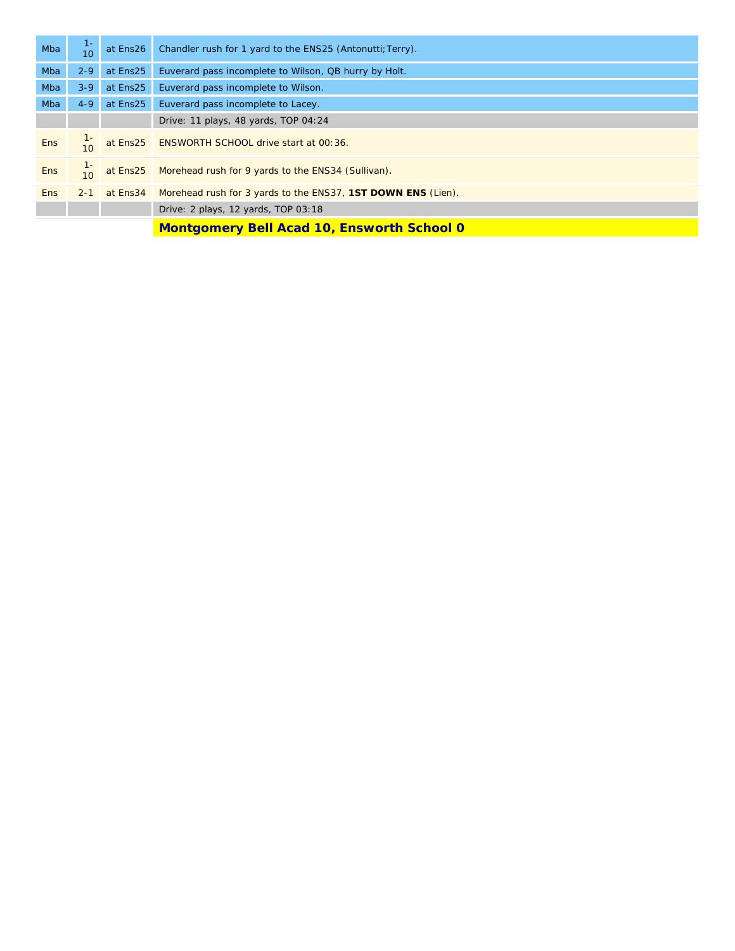| Mba        | $1 -$<br>10 | at Ens26 | Chandler rush for 1 yard to the ENS25 (Antonutti; Terry).             |
|------------|-------------|----------|-----------------------------------------------------------------------|
| Mba        | $2 - 9$     | at Ens25 | Euverard pass incomplete to Wilson, QB hurry by Holt.                 |
| Mba        | $3 - 9$     | at Ens25 | Euverard pass incomplete to Wilson.                                   |
| Mba        | $4 - 9$     | at Ens25 | Euverard pass incomplete to Lacey.                                    |
|            |             |          | Drive: 11 plays, 48 yards, TOP 04:24                                  |
| <b>Ens</b> |             |          | at Ens25 ENSWORTH SCHOOL drive start at 00:36.                        |
| <b>Ens</b> | 10          |          | at Ens25 Morehead rush for 9 yards to the ENS34 (Sullivan).           |
| <b>Ens</b> | $2 - 1$     |          | at Ens34 Morehead rush for 3 yards to the ENS37, 1ST DOWN ENS (Lien). |
|            |             |          | Drive: 2 plays, 12 yards, TOP 03:18                                   |
|            |             |          | <b>Montgomery Bell Acad 10, Ensworth School 0</b>                     |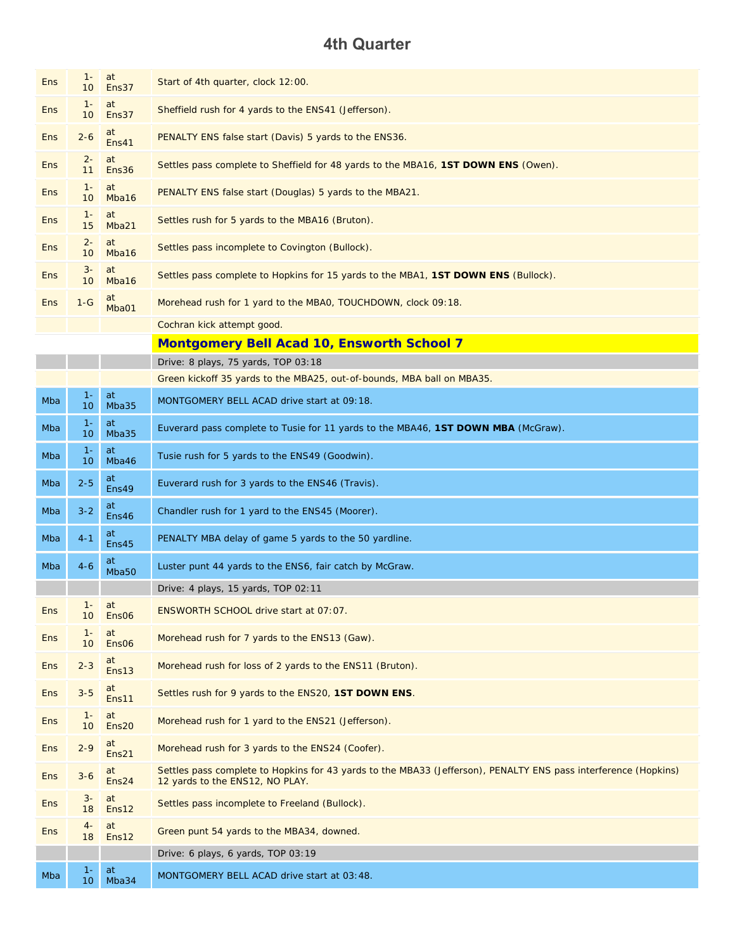## **4th Quarter**

| <b>Ens</b>                                        | $1 -$<br>10              | at<br>Ens37             | Start of 4th quarter, clock 12:00.                                                                                                                 |
|---------------------------------------------------|--------------------------|-------------------------|----------------------------------------------------------------------------------------------------------------------------------------------------|
| <b>Ens</b>                                        | $1 -$<br>10 <sup>°</sup> | at<br>Ens37             | Sheffield rush for 4 yards to the ENS41 (Jefferson).                                                                                               |
| <b>Ens</b>                                        | $2 - 6$                  | at<br>Ens41             | PENALTY ENS false start (Davis) 5 yards to the ENS36.                                                                                              |
| <b>Ens</b>                                        | $2 -$<br>11              | at<br>Ens36             | Settles pass complete to Sheffield for 48 yards to the MBA16, 1ST DOWN ENS (Owen).                                                                 |
| <b>Ens</b>                                        | $1 -$<br>10 <sup>°</sup> | at<br>Mba16             | PENALTY ENS false start (Douglas) 5 yards to the MBA21.                                                                                            |
| <b>Ens</b>                                        | $1 -$<br>15              | at<br>Mba21             | Settles rush for 5 yards to the MBA16 (Bruton).                                                                                                    |
| <b>Ens</b>                                        | $2 -$<br>10 <sup>°</sup> | at<br>Mba16             | Settles pass incomplete to Covington (Bullock).                                                                                                    |
| <b>Ens</b>                                        | $3-$<br>10 <sup>°</sup>  | at<br>Mba16             | Settles pass complete to Hopkins for 15 yards to the MBA1, 1ST DOWN ENS (Bullock).                                                                 |
| <b>Ens</b>                                        | $1-G$                    | at<br>Mba01             | Morehead rush for 1 yard to the MBA0, TOUCHDOWN, clock 09:18.                                                                                      |
|                                                   |                          |                         |                                                                                                                                                    |
|                                                   |                          |                         | Cochran kick attempt good.                                                                                                                         |
| <b>Montgomery Bell Acad 10, Ensworth School 7</b> |                          |                         |                                                                                                                                                    |
|                                                   |                          |                         | Drive: 8 plays, 75 yards, TOP 03:18                                                                                                                |
|                                                   |                          |                         | Green kickoff 35 yards to the MBA25, out-of-bounds, MBA ball on MBA35.                                                                             |
| Mba                                               | $1 -$<br>10              | at<br>Mba35             | MONTGOMERY BELL ACAD drive start at 09:18.                                                                                                         |
| Mba                                               | $1 -$<br>10 <sup>°</sup> | at<br>Mba35             | Euverard pass complete to Tusie for 11 yards to the MBA46, 1ST DOWN MBA (McGraw).                                                                  |
| Mba                                               | $1 -$<br>10 <sup>°</sup> | at<br>Mba46             | Tusie rush for 5 yards to the ENS49 (Goodwin).                                                                                                     |
| Mba                                               | $2 - 5$                  | at<br>Ens49             | Euverard rush for 3 yards to the ENS46 (Travis).                                                                                                   |
| Mba                                               | $3 - 2$                  | at<br>Ens46             | Chandler rush for 1 yard to the ENS45 (Moorer).                                                                                                    |
| Mba                                               | $4 - 1$                  | at<br>Ens45             | PENALTY MBA delay of game 5 yards to the 50 yardline.                                                                                              |
| Mba                                               | $4 - 6$                  | at<br>Mba50             | Luster punt 44 yards to the ENS6, fair catch by McGraw.                                                                                            |
|                                                   |                          |                         | Drive: 4 plays, 15 yards, TOP 02:11                                                                                                                |
| <b>Ens</b>                                        | $1 -$<br>10 <sup>°</sup> | at<br>Ens <sub>06</sub> | ENSWORTH SCHOOL drive start at 07:07.                                                                                                              |
| <b>Ens</b>                                        | $1 -$<br>10              | at<br>Ens06             | Morehead rush for 7 yards to the ENS13 (Gaw).                                                                                                      |
| <b>Ens</b>                                        | $2 - 3$                  | at<br>Ens13             | Morehead rush for loss of 2 yards to the ENS11 (Bruton).                                                                                           |
| <b>Ens</b>                                        | $3 - 5$                  | at<br>Ens11             | Settles rush for 9 yards to the ENS20, 1ST DOWN ENS.                                                                                               |
| <b>Ens</b>                                        | $1 -$<br>10 <sup>°</sup> | at<br>Ens20             | Morehead rush for 1 yard to the ENS21 (Jefferson).                                                                                                 |
| <b>Ens</b>                                        | $2 - 9$                  | at<br>Ens21             | Morehead rush for 3 yards to the ENS24 (Coofer).                                                                                                   |
| <b>Ens</b>                                        | $3 - 6$                  | at<br>Ens24             | Settles pass complete to Hopkins for 43 yards to the MBA33 (Jefferson), PENALTY ENS pass interference (Hopkins)<br>12 yards to the ENS12, NO PLAY. |
| <b>Ens</b>                                        | $3-$<br>18               | at<br>Ens12             | Settles pass incomplete to Freeland (Bullock).                                                                                                     |
| Ens                                               | $4-$<br>18               | at<br>Ens12             | Green punt 54 yards to the MBA34, downed.                                                                                                          |
|                                                   |                          |                         | Drive: 6 plays, 6 yards, TOP 03:19                                                                                                                 |
| Mba                                               | $1 -$                    | at                      | MONTGOMERY BELL ACAD drive start at 03:48.                                                                                                         |
|                                                   | 10                       | Mba34                   |                                                                                                                                                    |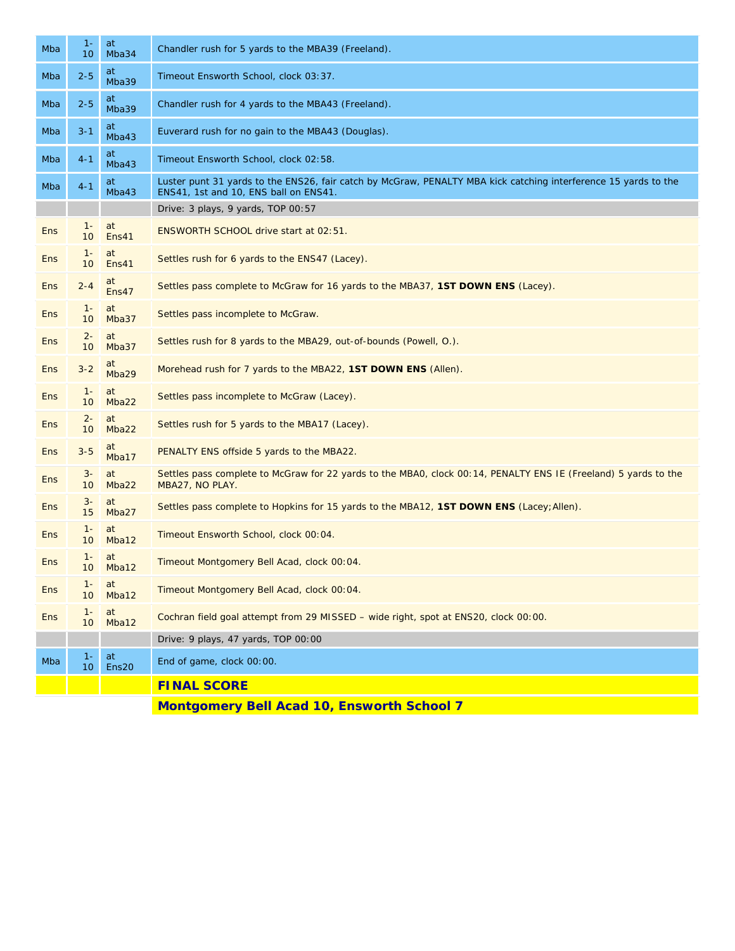| Mba        | $1 -$<br>10              | at<br>Mba34 | Chandler rush for 5 yards to the MBA39 (Freeland).                                                                                                       |  |
|------------|--------------------------|-------------|----------------------------------------------------------------------------------------------------------------------------------------------------------|--|
| Mba        | $2 - 5$                  | at<br>Mba39 | Timeout Ensworth School, clock 03:37.                                                                                                                    |  |
| Mba        | $2 - 5$                  | at<br>Mba39 | Chandler rush for 4 yards to the MBA43 (Freeland).                                                                                                       |  |
| Mba        | $3 - 1$                  | at<br>Mba43 | Euverard rush for no gain to the MBA43 (Douglas).                                                                                                        |  |
| Mba        | $4 - 1$                  | at<br>Mba43 | Timeout Ensworth School, clock 02:58.                                                                                                                    |  |
| Mba        | $4 - 1$                  | at<br>Mba43 | Luster punt 31 yards to the ENS26, fair catch by McGraw, PENALTY MBA kick catching interference 15 yards to the<br>ENS41, 1st and 10, ENS ball on ENS41. |  |
|            |                          |             | Drive: 3 plays, 9 yards, TOP 00:57                                                                                                                       |  |
| <b>Ens</b> | $1 -$<br>10 <sup>°</sup> | at<br>Ens41 | ENSWORTH SCHOOL drive start at 02:51.                                                                                                                    |  |
| <b>Ens</b> | $1 -$<br>10 <sup>°</sup> | at<br>Ens41 | Settles rush for 6 yards to the ENS47 (Lacey).                                                                                                           |  |
| <b>Ens</b> | $2 - 4$                  | at<br>Ens47 | Settles pass complete to McGraw for 16 yards to the MBA37, 1ST DOWN ENS (Lacey).                                                                         |  |
| <b>Ens</b> | $1 -$<br>10              | at<br>Mba37 | Settles pass incomplete to McGraw.                                                                                                                       |  |
| <b>Ens</b> | $2 -$<br>10              | at<br>Mba37 | Settles rush for 8 yards to the MBA29, out-of-bounds (Powell, O.).                                                                                       |  |
| <b>Ens</b> | $3 - 2$                  | at<br>Mba29 | Morehead rush for 7 yards to the MBA22, 1ST DOWN ENS (Allen).                                                                                            |  |
| <b>Ens</b> | $1 -$<br>10 <sup>°</sup> | at<br>Mba22 | Settles pass incomplete to McGraw (Lacey).                                                                                                               |  |
| <b>Ens</b> | $2 -$<br>10 <sup>°</sup> | at<br>Mba22 | Settles rush for 5 yards to the MBA17 (Lacey).                                                                                                           |  |
| <b>Ens</b> | $3 - 5$                  | at<br>Mba17 | PENALTY ENS offside 5 yards to the MBA22.                                                                                                                |  |
| <b>Ens</b> | $3-$<br>10 <sup>°</sup>  | at<br>Mba22 | Settles pass complete to McGraw for 22 yards to the MBAO, clock 00:14, PENALTY ENS IE (Freeland) 5 yards to the<br>MBA27, NO PLAY.                       |  |
| <b>Ens</b> | $3-$<br>15               | at<br>Mba27 | Settles pass complete to Hopkins for 15 yards to the MBA12, 1ST DOWN ENS (Lacey; Allen).                                                                 |  |
| <b>Ens</b> | $1 -$<br>10              | at<br>Mba12 | Timeout Ensworth School, clock 00:04.                                                                                                                    |  |
| <b>Ens</b> | $1 -$<br>10 <sup>°</sup> | at<br>Mba12 | Timeout Montgomery Bell Acad, clock 00:04.                                                                                                               |  |
| <b>Ens</b> | $1 -$<br>10 <sup>°</sup> | at<br>Mba12 | Timeout Montgomery Bell Acad, clock 00:04.                                                                                                               |  |
| <b>Ens</b> | $1 -$<br>10 <sup>°</sup> | at<br>Mba12 | Cochran field goal attempt from 29 MISSED - wide right, spot at ENS20, clock 00:00.                                                                      |  |
|            |                          |             | Drive: 9 plays, 47 yards, TOP 00:00                                                                                                                      |  |
| Mba        | $1 -$<br>10 <sub>1</sub> | at<br>Ens20 | End of game, clock 00:00.                                                                                                                                |  |
|            |                          |             | <b>FINAL SCORE</b>                                                                                                                                       |  |
|            |                          |             | <b>Montgomery Bell Acad 10, Ensworth School 7</b>                                                                                                        |  |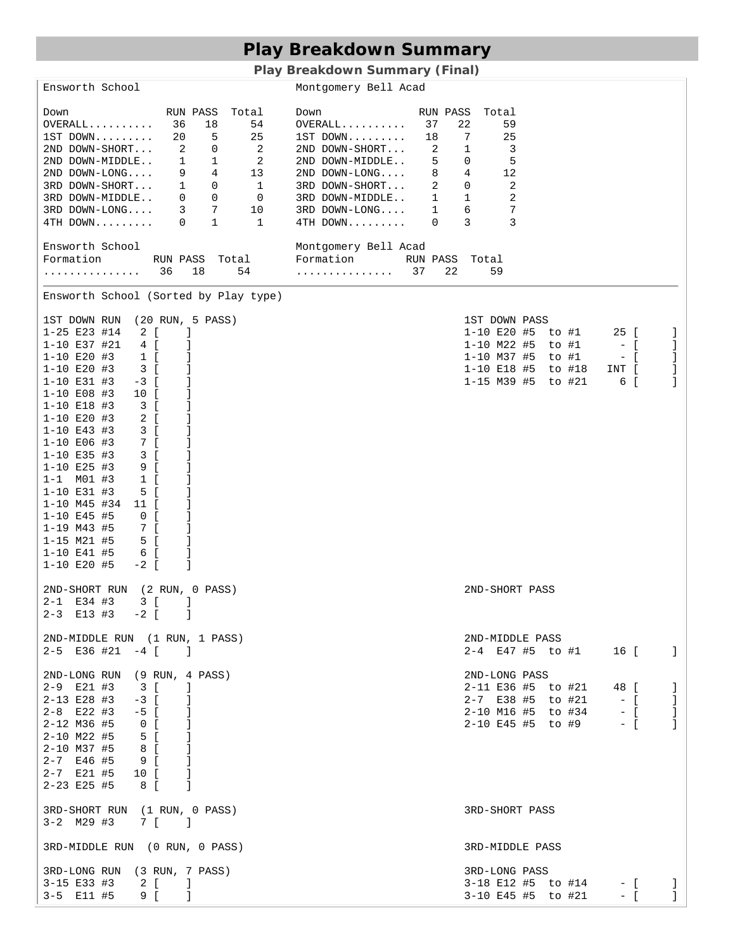# **Play Breakdown Summary**

**Play Breakdown Summary (Final)** 

| Ensworth School                                                                                                                                                                                                                                                                                                                                                                                                                                                                                                                                                                                                                                                                                                                                                                                                                        | Montgomery Bell Acad                                                                                                                                                                                                                                        |                                                                                                                                                                                              |
|----------------------------------------------------------------------------------------------------------------------------------------------------------------------------------------------------------------------------------------------------------------------------------------------------------------------------------------------------------------------------------------------------------------------------------------------------------------------------------------------------------------------------------------------------------------------------------------------------------------------------------------------------------------------------------------------------------------------------------------------------------------------------------------------------------------------------------------|-------------------------------------------------------------------------------------------------------------------------------------------------------------------------------------------------------------------------------------------------------------|----------------------------------------------------------------------------------------------------------------------------------------------------------------------------------------------|
| RUN PASS Total<br>Down<br>$OVERALL$ 36<br>18<br>54<br>$1ST$ DOWN $20$ 5 25<br>2ND DOWN-SHORT 2 0 2<br>2ND DOWN-MIDDLE 1 1 2<br>2ND DOWN-LONG 9 4 13<br>3RD DOWN-SHORT 1 0 1<br>3RD DOWN-MIDDLE 0 0 0<br>3RD DOWN-LONG 3 7 10<br>4TH DOWN 0 1 1                                                                                                                                                                                                                                                                                                                                                                                                                                                                                                                                                                                         | Down<br>$OVERAIL$ 37<br>$1ST$ DOWN $18$<br>$2ND$ DOWN-SHORT 2<br>2ND DOWN-MIDDLE 5 0 5<br>2ND DOWN-LONG 8 4 12<br>3RD DOWN-SHORT 2 0 2<br>$\begin{tabular}{llllll} 3RD & DOWN-MIDDLE. & 1 & 1 \\ 3RD & DOWN-LONG. & 1 & 6 \\ \end{tabular}$<br>$4TH$ DOWN 0 | RUN PASS Total<br>22<br>59<br>$\overline{7}$<br>25<br>$\mathbf{1}$<br>$\overline{\phantom{a}}$<br>$\overline{\phantom{0}}^2$<br>$\overline{7}$<br>3<br>3                                     |
| Ensworth School<br>Formation RUN PASS Total Formation RUN PASS Total<br>. 36<br>18                                                                                                                                                                                                                                                                                                                                                                                                                                                                                                                                                                                                                                                                                                                                                     | Montgomery Bell Acad<br>54 37<br>22                                                                                                                                                                                                                         | 59                                                                                                                                                                                           |
| Ensworth School (Sorted by Play type)                                                                                                                                                                                                                                                                                                                                                                                                                                                                                                                                                                                                                                                                                                                                                                                                  |                                                                                                                                                                                                                                                             |                                                                                                                                                                                              |
| 1ST DOWN RUN (20 RUN, 5 PASS)<br>$1-25$ E23 #14 2 [<br>-1<br>$1-10 E37$ #21 4 [<br>-1<br>$1 - 10$ E20 #3<br>$1\left[$<br>-1<br>$1 - 10$ E20 #3<br>3 [<br>1<br>$1 - 10$ E31 #3<br>$-3$ [<br>-1<br>$1 - 10$ E08 #3<br>10 [<br>1<br>$1 - 10$ E18 #3<br>$\overline{\phantom{a}3}$ [<br>-1<br>2 [<br>$1 - 10$ E20 #3<br>-1<br>$1 - 10$ E43 #3<br>$\overline{\phantom{a}3}$ [<br>1<br>$1 - 10$ E06 #3<br>$7 \quad [$<br>1<br>3 [<br>$1 - 10$ E35 #3<br>1<br>9 <sub>1</sub><br>$1 - 10$ E25 #3<br>$1 - 1$ MO1 #3<br>$1$ [<br>1<br>1<br>$1 - 10$ E31 #3<br>5 [<br>1-10 M45 #34 11 [<br>-1<br>1-10 E45 #5<br>$\begin{array}{ccc} & & 0 \\ & & \end{array}$<br>1<br>$1 - 19$ M43 #5<br>-1<br>$\begin{array}{c} 7 \ \ 1 \\ 5 \ \ 1 \end{array}$<br>J.<br>$1 - 15$ M21 #5<br>6 <sup>1</sup><br>$1 - 10$ E41 #5<br>J<br>1-10 E20 #5<br>$-2$ [<br>-1 |                                                                                                                                                                                                                                                             | 1ST DOWN PASS<br>1-10 E20 #5 to #1<br>25 [<br>-1<br>$1-10$ M22 #5 to #1 $-$ [<br>-1<br>$1-10$ M37 #5 to #1 - [<br>-1<br>1-10 E18 #5 to #18<br>INT [<br>-1<br>1-15 M39 #5 to #21<br>6 [<br>-1 |
| 2ND-SHORT RUN (2 RUN, 0 PASS)<br>3 [<br>- 1<br>$2 - 1$ E34 #3<br>$2-3$ E13 #3 $-2$ [ ]                                                                                                                                                                                                                                                                                                                                                                                                                                                                                                                                                                                                                                                                                                                                                 |                                                                                                                                                                                                                                                             | 2ND-SHORT PASS                                                                                                                                                                               |
| 2ND-MIDDLE RUN (1 RUN, 1 PASS)<br>$2-5$ E36 #21 $-4$ [ ]                                                                                                                                                                                                                                                                                                                                                                                                                                                                                                                                                                                                                                                                                                                                                                               |                                                                                                                                                                                                                                                             | 2ND-MIDDLE PASS<br>2-4 E47 #5 to #1 16 [ ]                                                                                                                                                   |
| 2ND-LONG RUN (9 RUN, 4 PASS)<br>$2-9$ E21 #3 3 [<br>- 1<br>$2-13$ E28 #3 $-3$ [<br>-1<br>$2-8$ E22 #3 $-5$ [<br>- 1<br>$2 - 12$ M36 #5<br>$\begin{bmatrix} 0 & 1 \end{bmatrix}$<br>$\sim 1$<br>$2 - 10$ M22 #5<br>5 <sup>5</sup><br>$8\quad$ [<br>2-10 M37 #5<br>-1<br>2-7 E46 #5<br>9 <sub>1</sub><br>-1<br>$2 - 7$ E21 #5 10 [<br>-1<br>$2 - 23$ E25 #5<br>$\mathbf{1}$<br>8 <sup>1</sup>                                                                                                                                                                                                                                                                                                                                                                                                                                            |                                                                                                                                                                                                                                                             | 2ND-LONG PASS<br>2-11 E36 #5 to #21 48 [<br>J.<br>-1<br>2-7 E38 #5 to #21<br>2-10 M16 #5 to #34 - [<br>-1<br>2-10 E45 #5 to #9 - [<br>-1                                                     |
| 3RD-SHORT RUN (1 RUN, 0 PASS)<br>$3-2$ M29 #3 7 [ ]                                                                                                                                                                                                                                                                                                                                                                                                                                                                                                                                                                                                                                                                                                                                                                                    |                                                                                                                                                                                                                                                             | 3RD-SHORT PASS                                                                                                                                                                               |
| 3RD-MIDDLE RUN (0 RUN, 0 PASS)                                                                                                                                                                                                                                                                                                                                                                                                                                                                                                                                                                                                                                                                                                                                                                                                         |                                                                                                                                                                                                                                                             | 3RD-MIDDLE PASS                                                                                                                                                                              |
| 3RD-LONG RUN (3 RUN, 7 PASS)<br>$3-15$ E33 #3 2 [ ]<br>$3-5$ E11 #5 9 [ ]                                                                                                                                                                                                                                                                                                                                                                                                                                                                                                                                                                                                                                                                                                                                                              |                                                                                                                                                                                                                                                             | 3RD-LONG PASS<br>3-18 E12 #5 to #14 - [ ]<br>3-10 E45 #5 to #21<br>$-$ [ $\qquad$ ]                                                                                                          |